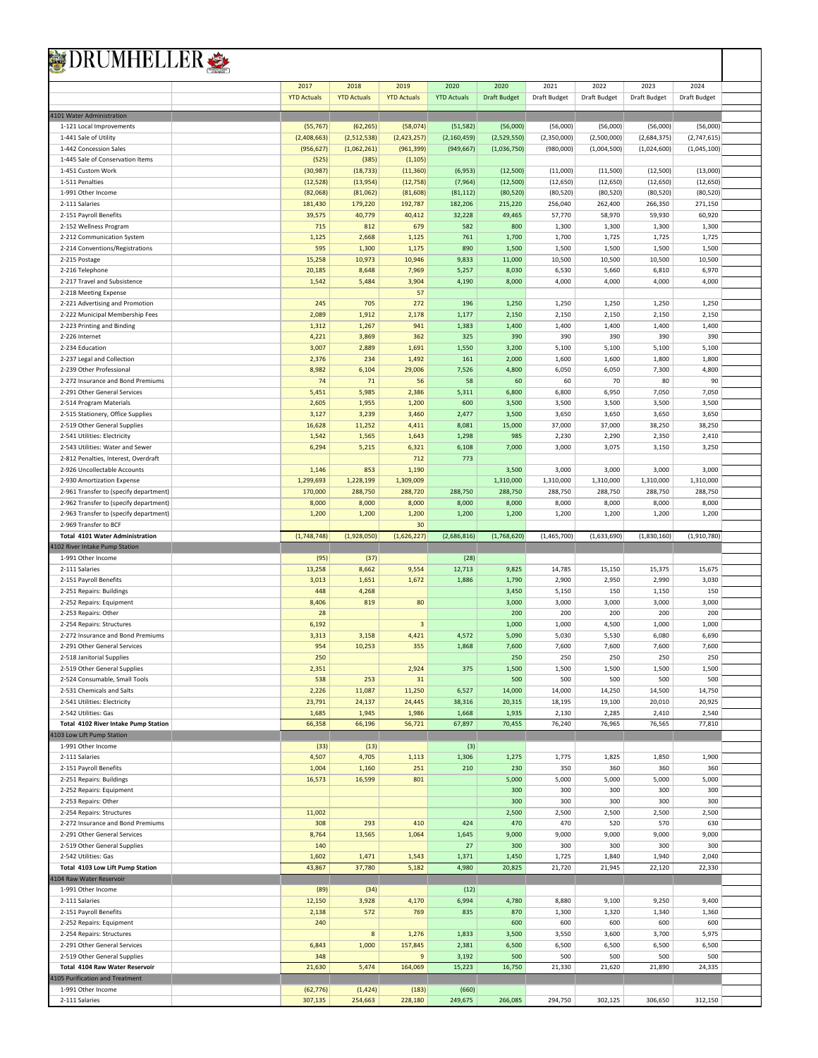| RUMHELLER S                                                    |                    |                    |                         |                    |                     |                    |                    |                    |                     |  |
|----------------------------------------------------------------|--------------------|--------------------|-------------------------|--------------------|---------------------|--------------------|--------------------|--------------------|---------------------|--|
|                                                                | 2017               | 2018               | 2019                    | 2020               | 2020                | 2021               | 2022               | 2023               | 2024                |  |
|                                                                | <b>YTD Actuals</b> | <b>YTD Actuals</b> | <b>YTD Actuals</b>      | <b>YTD Actuals</b> | <b>Draft Budget</b> | Draft Budget       | Draft Budget       | Draft Budget       | <b>Draft Budget</b> |  |
| 4101 Water Administration                                      |                    |                    |                         |                    |                     |                    |                    |                    |                     |  |
| 1-121 Local Improvements                                       | (55, 767)          | (62, 265)          | (58,074)                | (51, 582)          | (56,000)            | (56,000)           | (56,000)           | (56,000)           | (56,000)            |  |
| 1-441 Sale of Utility                                          | (2,408,663)        | (2,512,538)        | (2,423,257)             | (2, 160, 459)      | (2,529,550)         | (2,350,000)        | (2,500,000)        | (2,684,375)        | (2,747,615)         |  |
| 1-442 Concession Sales                                         | (956, 627)         | (1,062,261)        | (961, 399)              | (949, 667)         | (1,036,750)         | (980,000)          | (1,004,500)        | (1,024,600)        | (1,045,100)         |  |
| 1-445 Sale of Conservation Items                               | (525)              | (385)              | (1, 105)                |                    |                     |                    |                    |                    |                     |  |
| 1-451 Custom Work                                              | (30, 987)          | (18, 733)          | (11, 360)               | (6,953)            | (12,500)            | (11,000)           | (11,500)           | (12,500)           | (13,000)            |  |
| 1-511 Penalties                                                | (12, 528)          | (13,954)           | (12, 758)               | (7,964)            | (12,500)            | (12, 650)          | (12, 650)          | (12, 650)          | (12, 650)           |  |
| 1-991 Other Income                                             | (82,068)           | (81,062)           | (81, 608)               | (81, 112)          | (80, 520)           | (80, 520)          | (80, 520)          | (80, 520)          | (80, 520)           |  |
| 2-111 Salaries                                                 | 181,430            | 179,220            | 192,787                 | 182,206            | 215,220             | 256,040            | 262,400            | 266,350            | 271,150             |  |
| 2-151 Payroll Benefits                                         | 39,575<br>715      | 40,779<br>812      | 40,412<br>679           | 32,228<br>582      | 49,465<br>800       | 57,770             | 58,970<br>1,300    | 59,930<br>1,300    | 60,920<br>1,300     |  |
| 2-152 Wellness Program<br>2-212 Communication System           | 1,125              | 2,668              | 1,125                   | 761                | 1,700               | 1,300<br>1,700     | 1,725              | 1,725              | 1,725               |  |
| 2-214 Conventions/Registrations                                | 595                | 1,300              | 1,175                   | 890                | 1,500               | 1,500              | 1,500              | 1,500              | 1,500               |  |
| 2-215 Postage                                                  | 15,258             | 10,973             | 10,946                  | 9,833              | 11,000              | 10,500             | 10,500             | 10,500             | 10,500              |  |
| 2-216 Telephone                                                | 20,185             | 8,648              | 7,969                   | 5,257              | 8,030               | 6,530              | 5,660              | 6,810              | 6,970               |  |
| 2-217 Travel and Subsistence                                   | 1,542              | 5,484              | 3,904                   | 4,190              | 8,000               | 4,000              | 4,000              | 4,000              | 4,000               |  |
| 2-218 Meeting Expense                                          |                    |                    | 57                      |                    |                     |                    |                    |                    |                     |  |
| 2-221 Advertising and Promotion                                | 245                | 705                | 272                     | 196                | 1,250               | 1,250              | 1,250              | 1,250              | 1,250               |  |
| 2-222 Municipal Membership Fees                                | 2,089              | 1,912              | 2,178                   | 1,177              | 2,150               | 2,150              | 2,150              | 2,150              | 2,150               |  |
| 2-223 Printing and Binding                                     | 1,312              | 1,267              | 941                     | 1,383              | 1,400               | 1,400              | 1,400              | 1,400              | 1,400               |  |
| 2-226 Internet                                                 | 4,221              | 3,869              | 362                     | 325                | 390                 | 390                | 390                | 390                | 390                 |  |
| 2-234 Education                                                | 3,007              | 2,889              | 1,691                   | 1,550              | 3,200               | 5,100              | 5,100              | 5,100              | 5,100               |  |
| 2-237 Legal and Collection                                     | 2,376              | 234                | 1,492                   | 161                | 2,000               | 1,600              | 1,600              | 1,800              | 1,800               |  |
| 2-239 Other Professional                                       | 8,982              | 6,104              | 29,006                  | 7,526              | 4,800               | 6,050              | 6,050              | 7,300              | 4,800               |  |
| 2-272 Insurance and Bond Premiums                              | 74                 | 71                 | 56                      | 58                 | 60                  | 60                 | 70                 | 80                 | 90                  |  |
| 2-291 Other General Services                                   | 5,451              | 5,985              | 2,386                   | 5,311              | 6,800               | 6,800              | 6,950              | 7,050              | 7,050               |  |
| 2-514 Program Materials                                        | 2,605              | 1,955              | 1,200                   | 600                | 3,500               | 3,500              | 3,500              | 3,500              | 3,500               |  |
| 2-515 Stationery, Office Supplies                              | 3,127              | 3,239              | 3,460                   | 2,477              | 3,500               | 3,650              | 3,650              | 3,650              | 3,650               |  |
| 2-519 Other General Supplies                                   | 16,628             | 11,252             | 4,411                   | 8,081              | 15,000              | 37,000             | 37,000             | 38,250             | 38,250              |  |
| 2-541 Utilities: Electricity                                   | 1,542              | 1,565              | 1,643                   | 1,298              | 985                 | 2,230              | 2,290              | 2,350              | 2,410               |  |
| 2-543 Utilities: Water and Sewer                               | 6,294              | 5,215              | 6,321                   | 6,108              | 7,000               | 3,000              | 3,075              | 3,150              | 3,250               |  |
| 2-812 Penalties, Interest, Overdraft                           |                    |                    | 712                     | 773                |                     |                    |                    |                    |                     |  |
| 2-926 Uncollectable Accounts<br>2-930 Amortization Expense     | 1,146<br>1,299,693 | 853<br>1,228,199   | 1,190<br>1,309,009      |                    | 3,500<br>1,310,000  | 3,000<br>1,310,000 | 3,000<br>1,310,000 | 3,000<br>1,310,000 | 3,000<br>1,310,000  |  |
| 2-961 Transfer to (specify department)                         | 170,000            | 288,750            | 288,720                 | 288,750            | 288,750             | 288,750            | 288,750            | 288,750            | 288,750             |  |
| 2-962 Transfer to (specify department)                         | 8,000              | 8,000              | 8,000                   | 8,000              | 8,000               | 8,000              | 8,000              | 8,000              | 8,000               |  |
| 2-963 Transfer to (specify department)                         | 1,200              | 1,200              | 1,200                   | 1,200              | 1,200               | 1,200              | 1,200              | 1,200              | 1,200               |  |
| 2-969 Transfer to BCF                                          |                    |                    | 30                      |                    |                     |                    |                    |                    |                     |  |
|                                                                |                    |                    |                         |                    |                     |                    |                    |                    |                     |  |
| <b>Total 4101 Water Administration</b>                         | (1,748,748)        | (1,928,050)        | (1,626,227)             | (2,686,816)        | (1,768,620)         | (1,465,700)        | (1,633,690)        | (1,830,160)        | (1,910,780)         |  |
| 4102 River Intake Pump Station                                 |                    |                    |                         |                    |                     |                    |                    |                    |                     |  |
| 1-991 Other Income                                             | (95)               | (37)               |                         | (28)               |                     |                    |                    |                    |                     |  |
| 2-111 Salaries                                                 | 13,258             | 8,662              | 9,554                   | 12,713             | 9,825               | 14,785             | 15,150             | 15,375             | 15,675              |  |
| 2-151 Payroll Benefits                                         | 3,013              | 1,651              | 1,672                   | 1,886              | 1,790               | 2,900              | 2,950              | 2,990              | 3,030               |  |
| 2-251 Repairs: Buildings                                       | 448                | 4,268              |                         |                    | 3,450               | 5,150              | 150                | 1,150              | 150                 |  |
| 2-252 Repairs: Equipment                                       | 8,406              | 819                | 80                      |                    | 3,000               | 3,000              | 3,000              | 3,000              | 3,000               |  |
| 2-253 Repairs: Other                                           | 28                 |                    |                         |                    | 200                 | 200                | 200                | 200                | 200                 |  |
| 2-254 Repairs: Structures                                      | 6,192              |                    | $\overline{\mathbf{3}}$ |                    | 1,000               | 1,000              | 4,500              | 1,000              | 1,000               |  |
| 2-272 Insurance and Bond Premiums                              | 3,313              | 3,158              | 4,421                   | 4,572              | 5,090               | 5,030              | 5,530              | 6,080              | 6,690               |  |
| 2-291 Other General Services                                   | 954                | 10,253             | 355                     | 1,868              | 7,600               | 7.600              | 7.600              | 7.600              | 7.600               |  |
| 2-518 Janitorial Supplies                                      | 250                |                    |                         |                    | 250                 | 250                | 250                | 250                | 250                 |  |
| 2-519 Other General Supplies                                   | 2,351              |                    | 2,924                   | 375                | 1,500               | 1,500              | 1,500              | 1,500              | 1,500               |  |
| 2-524 Consumable, Small Tools                                  | 538                | 253                | 31                      |                    | 500                 | 500                | 500                | 500                | 500                 |  |
| 2-531 Chemicals and Salts<br>2-541 Utilities: Electricity      | 2,226<br>23,791    | 11,087<br>24,137   | 11,250<br>24,445        | 6,527<br>38,316    | 14,000<br>20,315    | 14,000<br>18,195   | 14,250<br>19,100   | 14,500<br>20,010   | 14,750<br>20,925    |  |
| 2-542 Utilities: Gas                                           | 1,685              | 1,945              | 1,986                   | 1,668              | 1,935               | 2,130              | 2,285              | 2,410              | 2,540               |  |
| Total 4102 River Intake Pump Station                           | 66,358             | 66,196             | 56,721                  | 67,897             | 70,455              | 76,240             | 76,965             | 76,565             | 77,810              |  |
| 4103 Low Lift Pump Station                                     |                    |                    |                         |                    |                     |                    |                    |                    |                     |  |
| 1-991 Other Income                                             | (33)               | (13)               |                         | (3)                |                     |                    |                    |                    |                     |  |
| 2-111 Salaries                                                 | 4,507              | 4,705              | 1,113                   | 1,306              | 1,275               | 1,775              | 1,825              | 1,850              | 1,900               |  |
| 2-151 Payroll Benefits                                         | 1,004              | 1,160              | 251                     | 210                | 230                 | 350                | 360                | 360                | 360                 |  |
| 2-251 Repairs: Buildings                                       | 16,573             | 16,599             | 801                     |                    | 5,000               | 5,000              | 5,000              | 5,000              | 5,000               |  |
| 2-252 Repairs: Equipment                                       |                    |                    |                         |                    | 300                 | 300                | 300                | 300                | 300                 |  |
| 2-253 Repairs: Other                                           |                    |                    |                         |                    | 300                 | 300                | 300                | 300                | 300                 |  |
| 2-254 Repairs: Structures                                      | 11,002             |                    |                         |                    | 2,500               | 2,500              | 2,500              | 2,500              | 2,500               |  |
| 2-272 Insurance and Bond Premiums                              | 308                | 293                | 410                     | 424                | 470                 | 470                | 520                | 570                | 630                 |  |
| 2-291 Other General Services                                   | 8,764              | 13,565             | 1,064                   | 1,645              | 9,000               | 9,000              | 9,000              | 9,000              | 9,000               |  |
| 2-519 Other General Supplies                                   | 140                |                    |                         | 27                 | 300                 | 300                | 300                | 300                | 300                 |  |
| 2-542 Utilities: Gas                                           | 1,602              | 1,471              | 1,543                   | 1,371              | 1,450               | 1,725              | 1,840              | 1,940              | 2,040               |  |
| Total 4103 Low Lift Pump Station                               | 43,867             | 37,780             | 5,182                   | 4,980              | 20,825              | 21,720             | 21,945             | 22,120             | 22,330              |  |
| 4104 Raw Water Reservoir                                       |                    |                    |                         |                    |                     |                    |                    |                    |                     |  |
| 1-991 Other Income                                             | (89)               | (34)               |                         | (12)               |                     |                    |                    |                    |                     |  |
| 2-111 Salaries                                                 | 12,150             | 3,928              | 4,170                   | 6,994              | 4,780               | 8,880              | 9,100              | 9,250              | 9,400               |  |
| 2-151 Payroll Benefits                                         | 2,138              | 572                | 769                     | 835                | 870                 | 1,300              | 1,320              | 1,340              | 1,360               |  |
| 2-252 Repairs: Equipment                                       | 240                |                    |                         |                    | 600                 | 600                | 600                | 600                | 600                 |  |
| 2-254 Repairs: Structures                                      |                    | 8                  | 1,276                   | 1,833              | 3,500               | 3,550              | 3,600              | 3,700              | 5,975               |  |
| 2-291 Other General Services                                   | 6,843<br>348       | 1,000              | 157,845<br>9            | 2,381              | 6,500               | 6,500              | 6,500              | 6,500              | 6,500               |  |
| 2-519 Other General Supplies<br>Total 4104 Raw Water Reservoir |                    | 5,474              |                         | 3,192<br>15,223    | 500                 | 500<br>21,330      | 500                | 500                | 500                 |  |
|                                                                | 21,630             |                    | 164,069                 |                    | 16,750              |                    | 21,620             | 21,890             | 24,335              |  |
| 4105 Purification and Treatment<br>1-991 Other Income          | (62, 776)          | (1, 424)           | (183)                   | (660)              |                     |                    |                    |                    |                     |  |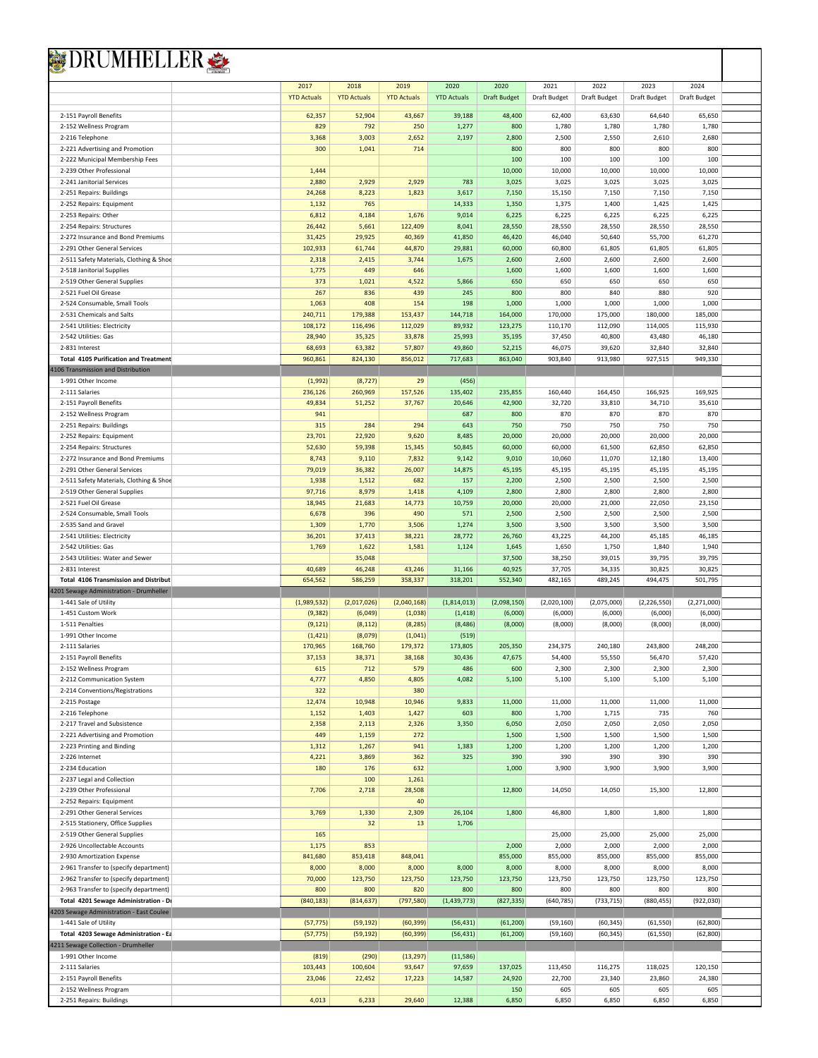| <b>YTD Actuals</b><br><b>YTD Actuals</b><br><b>YTD Actuals</b><br><b>YTD Actuals</b><br><b>Draft Budget</b><br>Draft Budget<br><b>Draft Budget</b><br>Draft Budget<br>Draft Budget<br>52,904<br>39,188<br>48,400<br>63,630<br>2-151 Payroll Benefits<br>62,357<br>43,667<br>62,400<br>64,640<br>65,650<br>2-152 Wellness Program<br>829<br>792<br>250<br>1,277<br>800<br>1,780<br>1,780<br>1,780<br>1,780<br>2,800<br>2,550<br>2,680<br>2-216 Telephone<br>3,368<br>3,003<br>2,652<br>2,197<br>2,500<br>2,610<br>1,041<br>714<br>800<br>800<br>800<br>800<br>800<br>2-221 Advertising and Promotion<br>300<br>100<br>100<br>100<br>100<br>100<br>2-222 Municipal Membership Fees<br>10,000<br>10,000<br>10,000<br>10,000<br>10,000<br>2-239 Other Professional<br>1,444<br>2,880<br>2,929<br>2,929<br>783<br>3,025<br>3,025<br>2-241 Janitorial Services<br>3,025<br>3,025<br>3,025<br>7,150<br>7,150<br>2-251 Repairs: Buildings<br>24,268<br>8,223<br>1,823<br>3,617<br>7,150<br>15,150<br>7,150<br>765<br>1,350<br>1,375<br>1,400<br>1,425<br>1,425<br>2-252 Repairs: Equipment<br>1,132<br>14,333<br>4,184<br>6,225<br>6,225<br>2-253 Repairs: Other<br>6,812<br>1,676<br>9,014<br>6,225<br>6,225<br>6,225<br>28,550<br>28,550<br>2-254 Repairs: Structures<br>26,442<br>5,661<br>122,409<br>8,041<br>28,550<br>28,550<br>28,550<br>31,425<br>29,925<br>40,369<br>41,850<br>46,420<br>46,040<br>50,640<br>55,700<br>61,270<br>2-272 Insurance and Bond Premiums<br>61,744<br>60,000<br>61,805<br>61,805<br>61,805<br>2-291 Other General Services<br>102,933<br>44,870<br>29,881<br>60,800<br>2,600<br>2,600<br>2-511 Safety Materials, Clothing & Shoe<br>2,318<br>2,415<br>3,744<br>1,675<br>2,600<br>2,600<br>2,600<br>1,775<br>449<br>1,600<br>1,600<br>1,600<br>2-518 Janitorial Supplies<br>646<br>1,600<br>1,600<br>2-519 Other General Supplies<br>373<br>1,021<br>4,522<br>5,866<br>650<br>650<br>650<br>650<br>650<br>2-521 Fuel Oil Grease<br>267<br>836<br>439<br>245<br>800<br>800<br>840<br>880<br>920<br>1,000<br>1,000<br>2-524 Consumable, Small Tools<br>1,063<br>408<br>154<br>198<br>1,000<br>1,000<br>1,000<br>2-531 Chemicals and Salts<br>240,711<br>179,388<br>153,437<br>144,718<br>164,000<br>170,000<br>175,000<br>180,000<br>185,000<br>2-541 Utilities: Electricity<br>108,172<br>116,496<br>112,029<br>89,932<br>123,275<br>110,170<br>112,090<br>114,005<br>115,930<br>2-542 Utilities: Gas<br>28,940<br>35,325<br>35,195<br>37,450<br>40,800<br>43,480<br>46,180<br>33,878<br>25,993<br>2-831 Interest<br>68,693<br>63,382<br>57,807<br>49,860<br>52,215<br>46,075<br>39,620<br>32,840<br>32,840<br>824,130<br>856,012<br>717,683<br>863,040<br>903,840<br>913,980<br>927,515<br>949,330<br><b>Total 4105 Purification and Treatment</b><br>960,861<br><b>1106 Transmission and Distribution</b><br>1-991 Other Income<br>(1,992)<br>(8, 727)<br>29<br>(456)<br>260,969<br>2-111 Salaries<br>236,126<br>157,526<br>135,402<br>235,855<br>160,440<br>164,450<br>166,925<br>169,925<br>49,834<br>51,252<br>20,646<br>42,900<br>32,720<br>33,810<br>34,710<br>35,610<br>2-151 Payroll Benefits<br>37,767<br>941<br>687<br>800<br>870<br>870<br>870<br>870<br>2-152 Wellness Program<br>643<br>750<br>750<br>2-251 Repairs: Buildings<br>315<br>284<br>294<br>750<br>750<br>750<br>22,920<br>9,620<br>8,485<br>20,000<br>20,000<br>20,000<br>2-252 Repairs: Equipment<br>23,701<br>20,000<br>20,000<br>59,398<br>61,500<br>62,850<br>52,630<br>15,345<br>50,845<br>60,000<br>60,000<br>62,850<br>2-254 Repairs: Structures<br>9,010<br>11,070<br>13,400<br>2-272 Insurance and Bond Premiums<br>8,743<br>9,110<br>7,832<br>9,142<br>10,060<br>12,180<br>45,195<br>2-291 Other General Services<br>79,019<br>36,382<br>26,007<br>14,875<br>45,195<br>45,195<br>45,195<br>45,195<br>2,200<br>2,500<br>2,500<br>2-511 Safety Materials, Clothing & Shoe<br>1,938<br>1,512<br>682<br>157<br>2,500<br>2,500<br>8,979<br>2,800<br>2,800<br>2-519 Other General Supplies<br>97,716<br>1,418<br>4,109<br>2,800<br>2,800<br>2,800<br>2-521 Fuel Oil Grease<br>20,000<br>21,000<br>18,945<br>21,683<br>14,773<br>10,759<br>20,000<br>22,050<br>23,150<br>2,500<br>2,500<br>2,500<br>6,678<br>396<br>490<br>571<br>2,500<br>2,500<br>2-524 Consumable, Small Tools<br>1,770<br>3,500<br>3,500<br>3,500<br>2-535 Sand and Gravel<br>1,309<br>3,506<br>1,274<br>3,500<br>3,500<br>37,413<br>44,200<br>45,185<br>46,185<br>2-541 Utilities: Electricity<br>36,201<br>38,221<br>28,772<br>26,760<br>43,225<br>2-542 Utilities: Gas<br>1,769<br>1,622<br>1,124<br>1,645<br>1,650<br>1,750<br>1,840<br>1,940<br>1,581<br>2-543 Utilities: Water and Sewer<br>35,048<br>37,500<br>38,250<br>39,015<br>39,795<br>39,795<br>46,248<br>40,925<br>34,335<br>30,825<br>30,825<br>2-831 Interest<br>40,689<br>43,246<br>31,166<br>37,705<br>586,259<br>358,337<br>318,201<br>552,340<br>489,245<br>501,795<br><b>Total 4106 Transmission and Distribut</b><br>654,562<br>482,165<br>494,475<br>4201 Sewage Administration - Drumheller<br>1-441 Sale of Utility<br>(1,989,532)<br>(2,017,026)<br>(2,040,168)<br>(1,814,013)<br>(2,098,150)<br>(2,020,100)<br>(2,075,000)<br>(2,226,550)<br>(2,271,000)<br>1-451 Custom Work<br>(9, 382)<br>(6,000)<br>(6,000)<br>(6,000)<br>(6,000)<br>(6,049)<br>(1,038)<br>(1, 418)<br>(6,000)<br>1-511 Penalties<br>(9, 121)<br>(8, 112)<br>(8, 285)<br>(8, 486)<br>(8,000)<br>(8,000)<br>(8,000)<br>(8,000)<br>(8,000)<br>1-991 Other Income<br>(1, 421)<br>(8,079)<br>(1,041)<br>(519)<br>205,350<br>234,375<br>240,180<br>2-111 Salaries<br>170,965<br>168,760<br>179,372<br>173,805<br>243,800<br>248,200<br>37,153<br>47,675<br>54,400<br>55,550<br>56,470<br>57,420<br>2-151 Payroll Benefits<br>38,371<br>38,168<br>30,436<br>2-152 Wellness Program<br>2,300<br>2,300<br>2,300<br>615<br>712<br>579<br>486<br>600<br>2,300<br>2-212 Communication System<br>4,777<br>4,850<br>4,805<br>4,082<br>5,100<br>5,100<br>5,100<br>5,100<br>5,100<br>2-214 Conventions/Registrations<br>380<br>322<br>10,946<br>11,000<br>2-215 Postage<br>12,474<br>10,948<br>9,833<br>11,000<br>11,000<br>11,000<br>11,000<br>2-216 Telephone<br>1,152<br>1,403<br>1,427<br>800<br>1,715<br>735<br>760<br>603<br>1,700<br>2-217 Travel and Subsistence<br>2,113<br>6,050<br>2,050<br>2,050<br>2,050<br>2,358<br>2,326<br>3,350<br>2,050<br>2-221 Advertising and Promotion<br>449<br>1,159<br>1,500<br>1,500<br>1,500<br>1,500<br>1,500<br>272<br>941<br>1,200<br>1,200<br>2-223 Printing and Binding<br>1,312<br>1,267<br>1,383<br>1,200<br>1,200<br>1,200<br>2-226 Internet<br>4,221<br>3,869<br>362<br>325<br>390<br>390<br>390<br>390<br>390<br>2-234 Education<br>180<br>176<br>632<br>1,000<br>3,900<br>3,900<br>3,900<br>3,900<br>2-237 Legal and Collection<br>100<br>1,261<br>2,718<br>2-239 Other Professional<br>7,706<br>28,508<br>12,800<br>14,050<br>14,050<br>15,300<br>12,800<br>40<br>2-252 Repairs: Equipment<br>2,309<br>26,104<br>2-291 Other General Services<br>3,769<br>1,330<br>1,800<br>46,800<br>1,800<br>1,800<br>1,800<br>32<br>13<br>1,706<br>2-515 Stationery, Office Supplies<br>2-519 Other General Supplies<br>165<br>25,000<br>25,000<br>25,000<br>25,000<br>2-926 Uncollectable Accounts<br>1,175<br>853<br>2,000<br>2,000<br>2,000<br>2,000<br>2,000<br>855,000<br>855,000<br>855,000<br>2-930 Amortization Expense<br>841,680<br>853,418<br>848,041<br>855,000<br>855,000<br>2-961 Transfer to (specify department)<br>8,000<br>8,000<br>8,000<br>8,000<br>8,000<br>8,000<br>8,000<br>8,000<br>8,000<br>70,000<br>123,750<br>2-962 Transfer to (specify department)<br>123,750<br>123,750<br>123,750<br>123,750<br>123,750<br>123,750<br>123,750<br>2-963 Transfer to (specify department)<br>800<br>800<br>800<br>800<br>820<br>800<br>800<br>800<br>800<br>(840, 183)<br>(814, 637)<br>(1, 439, 773)<br>(880, 455)<br>(922, 030)<br>Total 4201 Sewage Administration - Dr<br>(797, 580)<br>(827, 335)<br>(640, 785)<br>(733, 715)<br>4203 Sewage Administration - East Coulee<br>1-441 Sale of Utility<br>(57, 775)<br>(59, 192)<br>(60, 399)<br>(56, 431)<br>(61, 200)<br>(59, 160)<br>(60, 345)<br>(61, 550)<br>(62, 800)<br>Total 4203 Sewage Administration - Ea<br>(57, 775)<br>(59, 192)<br>(60, 399)<br>(56, 431)<br>(61, 200)<br>(59, 160)<br>(60, 345)<br>(61, 550)<br>(62, 800)<br>4211 Sewage Collection - Drumheller<br>(13, 297)<br>(11,586)<br>1-991 Other Income<br>(819)<br>(290)<br>2-111 Salaries<br>103,443<br>100,604<br>97,659<br>137,025<br>120,150<br>93,647<br>113,450<br>116,275<br>118,025<br>24,380<br>2-151 Payroll Benefits<br>23,046<br>22,452<br>17,223<br>14,587<br>24,920<br>22,700<br>23,340<br>23,860<br>2-152 Wellness Program<br>150<br>605<br>605<br>605<br>605<br>2-251 Repairs: Buildings<br>4,013<br>29,640<br>12,388<br>6,850<br>6,850<br>6,850<br>6,233<br>6,850<br>6,850 | 2017 | 2018 | 2019 | 2020 | 2020 | 2021 | 2022 | 2023 | 2024 |
|------------------------------------------------------------------------------------------------------------------------------------------------------------------------------------------------------------------------------------------------------------------------------------------------------------------------------------------------------------------------------------------------------------------------------------------------------------------------------------------------------------------------------------------------------------------------------------------------------------------------------------------------------------------------------------------------------------------------------------------------------------------------------------------------------------------------------------------------------------------------------------------------------------------------------------------------------------------------------------------------------------------------------------------------------------------------------------------------------------------------------------------------------------------------------------------------------------------------------------------------------------------------------------------------------------------------------------------------------------------------------------------------------------------------------------------------------------------------------------------------------------------------------------------------------------------------------------------------------------------------------------------------------------------------------------------------------------------------------------------------------------------------------------------------------------------------------------------------------------------------------------------------------------------------------------------------------------------------------------------------------------------------------------------------------------------------------------------------------------------------------------------------------------------------------------------------------------------------------------------------------------------------------------------------------------------------------------------------------------------------------------------------------------------------------------------------------------------------------------------------------------------------------------------------------------------------------------------------------------------------------------------------------------------------------------------------------------------------------------------------------------------------------------------------------------------------------------------------------------------------------------------------------------------------------------------------------------------------------------------------------------------------------------------------------------------------------------------------------------------------------------------------------------------------------------------------------------------------------------------------------------------------------------------------------------------------------------------------------------------------------------------------------------------------------------------------------------------------------------------------------------------------------------------------------------------------------------------------------------------------------------------------------------------------------------------------------------------------------------------------------------------------------------------------------------------------------------------------------------------------------------------------------------------------------------------------------------------------------------------------------------------------------------------------------------------------------------------------------------------------------------------------------------------------------------------------------------------------------------------------------------------------------------------------------------------------------------------------------------------------------------------------------------------------------------------------------------------------------------------------------------------------------------------------------------------------------------------------------------------------------------------------------------------------------------------------------------------------------------------------------------------------------------------------------------------------------------------------------------------------------------------------------------------------------------------------------------------------------------------------------------------------------------------------------------------------------------------------------------------------------------------------------------------------------------------------------------------------------------------------------------------------------------------------------------------------------------------------------------------------------------------------------------------------------------------------------------------------------------------------------------------------------------------------------------------------------------------------------------------------------------------------------------------------------------------------------------------------------------------------------------------------------------------------------------------------------------------------------------------------------------------------------------------------------------------------------------------------------------------------------------------------------------------------------------------------------------------------------------------------------------------------------------------------------------------------------------------------------------------------------------------------------------------------------------------------------------------------------------------------------------------------------------------------------------------------------------------------------------------------------------------------------------------------------------------------------------------------------------------------------------------------------------------------------------------------------------------------------------------------------------------------------------------------------------------------------------------------------------------------------------------------------------------------------------------------------------------------------------------------------------------------------------------------------------------------------------------------------------------------------------------------------------------------------------------------------------------------------------------------------------------------------------------------------------------------------------------------------------------------------------------------------------------------------------------------------------------------------------------------------------------------------------------------------------------------------------------------------------------------------------------------------------------------------------------------------------------------------------------------------------------------------------------------------------------------------------------------------------------------------------------------------------------------------------------------------------------------------------------------------------------------------------------------------------------------------------------------------------------------------------------------------------------------------------------------------------------------------------------------------------------------------------------------------------------------------------------------------------------------------------------------------------------------------------------------------------------------------------------------------------------------------------------------------------------------------------------------------------------------------------------------------------------------------------------------------------------------------------------------------------------------------------------------------------------------------------------------------------------------------------------|------|------|------|------|------|------|------|------|------|
|                                                                                                                                                                                                                                                                                                                                                                                                                                                                                                                                                                                                                                                                                                                                                                                                                                                                                                                                                                                                                                                                                                                                                                                                                                                                                                                                                                                                                                                                                                                                                                                                                                                                                                                                                                                                                                                                                                                                                                                                                                                                                                                                                                                                                                                                                                                                                                                                                                                                                                                                                                                                                                                                                                                                                                                                                                                                                                                                                                                                                                                                                                                                                                                                                                                                                                                                                                                                                                                                                                                                                                                                                                                                                                                                                                                                                                                                                                                                                                                                                                                                                                                                                                                                                                                                                                                                                                                                                                                                                                                                                                                                                                                                                                                                                                                                                                                                                                                                                                                                                                                                                                                                                                                                                                                                                                                                                                                                                                                                                                                                                                                                                                                                                                                                                                                                                                                                                                                                                                                                                                                                                                                                                                                                                                                                                                                                                                                                                                                                                                                                                                                                                                                                                                                                                                                                                                                                                                                                                                                                                                                                                                                                                                                                                                                                                                                                                                                                                                                                                                                                                                                                                                                                                                                                                                                                                                                                                                                                                                                                                                                                                                                                                                                                                                                                                                                                                                                                                                                                                                                                                                                                                                                                                                                                                                                                                                                                                          |      |      |      |      |      |      |      |      |      |
|                                                                                                                                                                                                                                                                                                                                                                                                                                                                                                                                                                                                                                                                                                                                                                                                                                                                                                                                                                                                                                                                                                                                                                                                                                                                                                                                                                                                                                                                                                                                                                                                                                                                                                                                                                                                                                                                                                                                                                                                                                                                                                                                                                                                                                                                                                                                                                                                                                                                                                                                                                                                                                                                                                                                                                                                                                                                                                                                                                                                                                                                                                                                                                                                                                                                                                                                                                                                                                                                                                                                                                                                                                                                                                                                                                                                                                                                                                                                                                                                                                                                                                                                                                                                                                                                                                                                                                                                                                                                                                                                                                                                                                                                                                                                                                                                                                                                                                                                                                                                                                                                                                                                                                                                                                                                                                                                                                                                                                                                                                                                                                                                                                                                                                                                                                                                                                                                                                                                                                                                                                                                                                                                                                                                                                                                                                                                                                                                                                                                                                                                                                                                                                                                                                                                                                                                                                                                                                                                                                                                                                                                                                                                                                                                                                                                                                                                                                                                                                                                                                                                                                                                                                                                                                                                                                                                                                                                                                                                                                                                                                                                                                                                                                                                                                                                                                                                                                                                                                                                                                                                                                                                                                                                                                                                                                                                                                                                                          |      |      |      |      |      |      |      |      |      |
|                                                                                                                                                                                                                                                                                                                                                                                                                                                                                                                                                                                                                                                                                                                                                                                                                                                                                                                                                                                                                                                                                                                                                                                                                                                                                                                                                                                                                                                                                                                                                                                                                                                                                                                                                                                                                                                                                                                                                                                                                                                                                                                                                                                                                                                                                                                                                                                                                                                                                                                                                                                                                                                                                                                                                                                                                                                                                                                                                                                                                                                                                                                                                                                                                                                                                                                                                                                                                                                                                                                                                                                                                                                                                                                                                                                                                                                                                                                                                                                                                                                                                                                                                                                                                                                                                                                                                                                                                                                                                                                                                                                                                                                                                                                                                                                                                                                                                                                                                                                                                                                                                                                                                                                                                                                                                                                                                                                                                                                                                                                                                                                                                                                                                                                                                                                                                                                                                                                                                                                                                                                                                                                                                                                                                                                                                                                                                                                                                                                                                                                                                                                                                                                                                                                                                                                                                                                                                                                                                                                                                                                                                                                                                                                                                                                                                                                                                                                                                                                                                                                                                                                                                                                                                                                                                                                                                                                                                                                                                                                                                                                                                                                                                                                                                                                                                                                                                                                                                                                                                                                                                                                                                                                                                                                                                                                                                                                                                          |      |      |      |      |      |      |      |      |      |
|                                                                                                                                                                                                                                                                                                                                                                                                                                                                                                                                                                                                                                                                                                                                                                                                                                                                                                                                                                                                                                                                                                                                                                                                                                                                                                                                                                                                                                                                                                                                                                                                                                                                                                                                                                                                                                                                                                                                                                                                                                                                                                                                                                                                                                                                                                                                                                                                                                                                                                                                                                                                                                                                                                                                                                                                                                                                                                                                                                                                                                                                                                                                                                                                                                                                                                                                                                                                                                                                                                                                                                                                                                                                                                                                                                                                                                                                                                                                                                                                                                                                                                                                                                                                                                                                                                                                                                                                                                                                                                                                                                                                                                                                                                                                                                                                                                                                                                                                                                                                                                                                                                                                                                                                                                                                                                                                                                                                                                                                                                                                                                                                                                                                                                                                                                                                                                                                                                                                                                                                                                                                                                                                                                                                                                                                                                                                                                                                                                                                                                                                                                                                                                                                                                                                                                                                                                                                                                                                                                                                                                                                                                                                                                                                                                                                                                                                                                                                                                                                                                                                                                                                                                                                                                                                                                                                                                                                                                                                                                                                                                                                                                                                                                                                                                                                                                                                                                                                                                                                                                                                                                                                                                                                                                                                                                                                                                                                                          |      |      |      |      |      |      |      |      |      |
|                                                                                                                                                                                                                                                                                                                                                                                                                                                                                                                                                                                                                                                                                                                                                                                                                                                                                                                                                                                                                                                                                                                                                                                                                                                                                                                                                                                                                                                                                                                                                                                                                                                                                                                                                                                                                                                                                                                                                                                                                                                                                                                                                                                                                                                                                                                                                                                                                                                                                                                                                                                                                                                                                                                                                                                                                                                                                                                                                                                                                                                                                                                                                                                                                                                                                                                                                                                                                                                                                                                                                                                                                                                                                                                                                                                                                                                                                                                                                                                                                                                                                                                                                                                                                                                                                                                                                                                                                                                                                                                                                                                                                                                                                                                                                                                                                                                                                                                                                                                                                                                                                                                                                                                                                                                                                                                                                                                                                                                                                                                                                                                                                                                                                                                                                                                                                                                                                                                                                                                                                                                                                                                                                                                                                                                                                                                                                                                                                                                                                                                                                                                                                                                                                                                                                                                                                                                                                                                                                                                                                                                                                                                                                                                                                                                                                                                                                                                                                                                                                                                                                                                                                                                                                                                                                                                                                                                                                                                                                                                                                                                                                                                                                                                                                                                                                                                                                                                                                                                                                                                                                                                                                                                                                                                                                                                                                                                                                          |      |      |      |      |      |      |      |      |      |
|                                                                                                                                                                                                                                                                                                                                                                                                                                                                                                                                                                                                                                                                                                                                                                                                                                                                                                                                                                                                                                                                                                                                                                                                                                                                                                                                                                                                                                                                                                                                                                                                                                                                                                                                                                                                                                                                                                                                                                                                                                                                                                                                                                                                                                                                                                                                                                                                                                                                                                                                                                                                                                                                                                                                                                                                                                                                                                                                                                                                                                                                                                                                                                                                                                                                                                                                                                                                                                                                                                                                                                                                                                                                                                                                                                                                                                                                                                                                                                                                                                                                                                                                                                                                                                                                                                                                                                                                                                                                                                                                                                                                                                                                                                                                                                                                                                                                                                                                                                                                                                                                                                                                                                                                                                                                                                                                                                                                                                                                                                                                                                                                                                                                                                                                                                                                                                                                                                                                                                                                                                                                                                                                                                                                                                                                                                                                                                                                                                                                                                                                                                                                                                                                                                                                                                                                                                                                                                                                                                                                                                                                                                                                                                                                                                                                                                                                                                                                                                                                                                                                                                                                                                                                                                                                                                                                                                                                                                                                                                                                                                                                                                                                                                                                                                                                                                                                                                                                                                                                                                                                                                                                                                                                                                                                                                                                                                                                                          |      |      |      |      |      |      |      |      |      |
|                                                                                                                                                                                                                                                                                                                                                                                                                                                                                                                                                                                                                                                                                                                                                                                                                                                                                                                                                                                                                                                                                                                                                                                                                                                                                                                                                                                                                                                                                                                                                                                                                                                                                                                                                                                                                                                                                                                                                                                                                                                                                                                                                                                                                                                                                                                                                                                                                                                                                                                                                                                                                                                                                                                                                                                                                                                                                                                                                                                                                                                                                                                                                                                                                                                                                                                                                                                                                                                                                                                                                                                                                                                                                                                                                                                                                                                                                                                                                                                                                                                                                                                                                                                                                                                                                                                                                                                                                                                                                                                                                                                                                                                                                                                                                                                                                                                                                                                                                                                                                                                                                                                                                                                                                                                                                                                                                                                                                                                                                                                                                                                                                                                                                                                                                                                                                                                                                                                                                                                                                                                                                                                                                                                                                                                                                                                                                                                                                                                                                                                                                                                                                                                                                                                                                                                                                                                                                                                                                                                                                                                                                                                                                                                                                                                                                                                                                                                                                                                                                                                                                                                                                                                                                                                                                                                                                                                                                                                                                                                                                                                                                                                                                                                                                                                                                                                                                                                                                                                                                                                                                                                                                                                                                                                                                                                                                                                                                          |      |      |      |      |      |      |      |      |      |
|                                                                                                                                                                                                                                                                                                                                                                                                                                                                                                                                                                                                                                                                                                                                                                                                                                                                                                                                                                                                                                                                                                                                                                                                                                                                                                                                                                                                                                                                                                                                                                                                                                                                                                                                                                                                                                                                                                                                                                                                                                                                                                                                                                                                                                                                                                                                                                                                                                                                                                                                                                                                                                                                                                                                                                                                                                                                                                                                                                                                                                                                                                                                                                                                                                                                                                                                                                                                                                                                                                                                                                                                                                                                                                                                                                                                                                                                                                                                                                                                                                                                                                                                                                                                                                                                                                                                                                                                                                                                                                                                                                                                                                                                                                                                                                                                                                                                                                                                                                                                                                                                                                                                                                                                                                                                                                                                                                                                                                                                                                                                                                                                                                                                                                                                                                                                                                                                                                                                                                                                                                                                                                                                                                                                                                                                                                                                                                                                                                                                                                                                                                                                                                                                                                                                                                                                                                                                                                                                                                                                                                                                                                                                                                                                                                                                                                                                                                                                                                                                                                                                                                                                                                                                                                                                                                                                                                                                                                                                                                                                                                                                                                                                                                                                                                                                                                                                                                                                                                                                                                                                                                                                                                                                                                                                                                                                                                                                                          |      |      |      |      |      |      |      |      |      |
|                                                                                                                                                                                                                                                                                                                                                                                                                                                                                                                                                                                                                                                                                                                                                                                                                                                                                                                                                                                                                                                                                                                                                                                                                                                                                                                                                                                                                                                                                                                                                                                                                                                                                                                                                                                                                                                                                                                                                                                                                                                                                                                                                                                                                                                                                                                                                                                                                                                                                                                                                                                                                                                                                                                                                                                                                                                                                                                                                                                                                                                                                                                                                                                                                                                                                                                                                                                                                                                                                                                                                                                                                                                                                                                                                                                                                                                                                                                                                                                                                                                                                                                                                                                                                                                                                                                                                                                                                                                                                                                                                                                                                                                                                                                                                                                                                                                                                                                                                                                                                                                                                                                                                                                                                                                                                                                                                                                                                                                                                                                                                                                                                                                                                                                                                                                                                                                                                                                                                                                                                                                                                                                                                                                                                                                                                                                                                                                                                                                                                                                                                                                                                                                                                                                                                                                                                                                                                                                                                                                                                                                                                                                                                                                                                                                                                                                                                                                                                                                                                                                                                                                                                                                                                                                                                                                                                                                                                                                                                                                                                                                                                                                                                                                                                                                                                                                                                                                                                                                                                                                                                                                                                                                                                                                                                                                                                                                                                          |      |      |      |      |      |      |      |      |      |
|                                                                                                                                                                                                                                                                                                                                                                                                                                                                                                                                                                                                                                                                                                                                                                                                                                                                                                                                                                                                                                                                                                                                                                                                                                                                                                                                                                                                                                                                                                                                                                                                                                                                                                                                                                                                                                                                                                                                                                                                                                                                                                                                                                                                                                                                                                                                                                                                                                                                                                                                                                                                                                                                                                                                                                                                                                                                                                                                                                                                                                                                                                                                                                                                                                                                                                                                                                                                                                                                                                                                                                                                                                                                                                                                                                                                                                                                                                                                                                                                                                                                                                                                                                                                                                                                                                                                                                                                                                                                                                                                                                                                                                                                                                                                                                                                                                                                                                                                                                                                                                                                                                                                                                                                                                                                                                                                                                                                                                                                                                                                                                                                                                                                                                                                                                                                                                                                                                                                                                                                                                                                                                                                                                                                                                                                                                                                                                                                                                                                                                                                                                                                                                                                                                                                                                                                                                                                                                                                                                                                                                                                                                                                                                                                                                                                                                                                                                                                                                                                                                                                                                                                                                                                                                                                                                                                                                                                                                                                                                                                                                                                                                                                                                                                                                                                                                                                                                                                                                                                                                                                                                                                                                                                                                                                                                                                                                                                                          |      |      |      |      |      |      |      |      |      |
|                                                                                                                                                                                                                                                                                                                                                                                                                                                                                                                                                                                                                                                                                                                                                                                                                                                                                                                                                                                                                                                                                                                                                                                                                                                                                                                                                                                                                                                                                                                                                                                                                                                                                                                                                                                                                                                                                                                                                                                                                                                                                                                                                                                                                                                                                                                                                                                                                                                                                                                                                                                                                                                                                                                                                                                                                                                                                                                                                                                                                                                                                                                                                                                                                                                                                                                                                                                                                                                                                                                                                                                                                                                                                                                                                                                                                                                                                                                                                                                                                                                                                                                                                                                                                                                                                                                                                                                                                                                                                                                                                                                                                                                                                                                                                                                                                                                                                                                                                                                                                                                                                                                                                                                                                                                                                                                                                                                                                                                                                                                                                                                                                                                                                                                                                                                                                                                                                                                                                                                                                                                                                                                                                                                                                                                                                                                                                                                                                                                                                                                                                                                                                                                                                                                                                                                                                                                                                                                                                                                                                                                                                                                                                                                                                                                                                                                                                                                                                                                                                                                                                                                                                                                                                                                                                                                                                                                                                                                                                                                                                                                                                                                                                                                                                                                                                                                                                                                                                                                                                                                                                                                                                                                                                                                                                                                                                                                                                          |      |      |      |      |      |      |      |      |      |
|                                                                                                                                                                                                                                                                                                                                                                                                                                                                                                                                                                                                                                                                                                                                                                                                                                                                                                                                                                                                                                                                                                                                                                                                                                                                                                                                                                                                                                                                                                                                                                                                                                                                                                                                                                                                                                                                                                                                                                                                                                                                                                                                                                                                                                                                                                                                                                                                                                                                                                                                                                                                                                                                                                                                                                                                                                                                                                                                                                                                                                                                                                                                                                                                                                                                                                                                                                                                                                                                                                                                                                                                                                                                                                                                                                                                                                                                                                                                                                                                                                                                                                                                                                                                                                                                                                                                                                                                                                                                                                                                                                                                                                                                                                                                                                                                                                                                                                                                                                                                                                                                                                                                                                                                                                                                                                                                                                                                                                                                                                                                                                                                                                                                                                                                                                                                                                                                                                                                                                                                                                                                                                                                                                                                                                                                                                                                                                                                                                                                                                                                                                                                                                                                                                                                                                                                                                                                                                                                                                                                                                                                                                                                                                                                                                                                                                                                                                                                                                                                                                                                                                                                                                                                                                                                                                                                                                                                                                                                                                                                                                                                                                                                                                                                                                                                                                                                                                                                                                                                                                                                                                                                                                                                                                                                                                                                                                                                                          |      |      |      |      |      |      |      |      |      |
|                                                                                                                                                                                                                                                                                                                                                                                                                                                                                                                                                                                                                                                                                                                                                                                                                                                                                                                                                                                                                                                                                                                                                                                                                                                                                                                                                                                                                                                                                                                                                                                                                                                                                                                                                                                                                                                                                                                                                                                                                                                                                                                                                                                                                                                                                                                                                                                                                                                                                                                                                                                                                                                                                                                                                                                                                                                                                                                                                                                                                                                                                                                                                                                                                                                                                                                                                                                                                                                                                                                                                                                                                                                                                                                                                                                                                                                                                                                                                                                                                                                                                                                                                                                                                                                                                                                                                                                                                                                                                                                                                                                                                                                                                                                                                                                                                                                                                                                                                                                                                                                                                                                                                                                                                                                                                                                                                                                                                                                                                                                                                                                                                                                                                                                                                                                                                                                                                                                                                                                                                                                                                                                                                                                                                                                                                                                                                                                                                                                                                                                                                                                                                                                                                                                                                                                                                                                                                                                                                                                                                                                                                                                                                                                                                                                                                                                                                                                                                                                                                                                                                                                                                                                                                                                                                                                                                                                                                                                                                                                                                                                                                                                                                                                                                                                                                                                                                                                                                                                                                                                                                                                                                                                                                                                                                                                                                                                                                          |      |      |      |      |      |      |      |      |      |
|                                                                                                                                                                                                                                                                                                                                                                                                                                                                                                                                                                                                                                                                                                                                                                                                                                                                                                                                                                                                                                                                                                                                                                                                                                                                                                                                                                                                                                                                                                                                                                                                                                                                                                                                                                                                                                                                                                                                                                                                                                                                                                                                                                                                                                                                                                                                                                                                                                                                                                                                                                                                                                                                                                                                                                                                                                                                                                                                                                                                                                                                                                                                                                                                                                                                                                                                                                                                                                                                                                                                                                                                                                                                                                                                                                                                                                                                                                                                                                                                                                                                                                                                                                                                                                                                                                                                                                                                                                                                                                                                                                                                                                                                                                                                                                                                                                                                                                                                                                                                                                                                                                                                                                                                                                                                                                                                                                                                                                                                                                                                                                                                                                                                                                                                                                                                                                                                                                                                                                                                                                                                                                                                                                                                                                                                                                                                                                                                                                                                                                                                                                                                                                                                                                                                                                                                                                                                                                                                                                                                                                                                                                                                                                                                                                                                                                                                                                                                                                                                                                                                                                                                                                                                                                                                                                                                                                                                                                                                                                                                                                                                                                                                                                                                                                                                                                                                                                                                                                                                                                                                                                                                                                                                                                                                                                                                                                                                                          |      |      |      |      |      |      |      |      |      |
|                                                                                                                                                                                                                                                                                                                                                                                                                                                                                                                                                                                                                                                                                                                                                                                                                                                                                                                                                                                                                                                                                                                                                                                                                                                                                                                                                                                                                                                                                                                                                                                                                                                                                                                                                                                                                                                                                                                                                                                                                                                                                                                                                                                                                                                                                                                                                                                                                                                                                                                                                                                                                                                                                                                                                                                                                                                                                                                                                                                                                                                                                                                                                                                                                                                                                                                                                                                                                                                                                                                                                                                                                                                                                                                                                                                                                                                                                                                                                                                                                                                                                                                                                                                                                                                                                                                                                                                                                                                                                                                                                                                                                                                                                                                                                                                                                                                                                                                                                                                                                                                                                                                                                                                                                                                                                                                                                                                                                                                                                                                                                                                                                                                                                                                                                                                                                                                                                                                                                                                                                                                                                                                                                                                                                                                                                                                                                                                                                                                                                                                                                                                                                                                                                                                                                                                                                                                                                                                                                                                                                                                                                                                                                                                                                                                                                                                                                                                                                                                                                                                                                                                                                                                                                                                                                                                                                                                                                                                                                                                                                                                                                                                                                                                                                                                                                                                                                                                                                                                                                                                                                                                                                                                                                                                                                                                                                                                                                          |      |      |      |      |      |      |      |      |      |
|                                                                                                                                                                                                                                                                                                                                                                                                                                                                                                                                                                                                                                                                                                                                                                                                                                                                                                                                                                                                                                                                                                                                                                                                                                                                                                                                                                                                                                                                                                                                                                                                                                                                                                                                                                                                                                                                                                                                                                                                                                                                                                                                                                                                                                                                                                                                                                                                                                                                                                                                                                                                                                                                                                                                                                                                                                                                                                                                                                                                                                                                                                                                                                                                                                                                                                                                                                                                                                                                                                                                                                                                                                                                                                                                                                                                                                                                                                                                                                                                                                                                                                                                                                                                                                                                                                                                                                                                                                                                                                                                                                                                                                                                                                                                                                                                                                                                                                                                                                                                                                                                                                                                                                                                                                                                                                                                                                                                                                                                                                                                                                                                                                                                                                                                                                                                                                                                                                                                                                                                                                                                                                                                                                                                                                                                                                                                                                                                                                                                                                                                                                                                                                                                                                                                                                                                                                                                                                                                                                                                                                                                                                                                                                                                                                                                                                                                                                                                                                                                                                                                                                                                                                                                                                                                                                                                                                                                                                                                                                                                                                                                                                                                                                                                                                                                                                                                                                                                                                                                                                                                                                                                                                                                                                                                                                                                                                                                                          |      |      |      |      |      |      |      |      |      |
|                                                                                                                                                                                                                                                                                                                                                                                                                                                                                                                                                                                                                                                                                                                                                                                                                                                                                                                                                                                                                                                                                                                                                                                                                                                                                                                                                                                                                                                                                                                                                                                                                                                                                                                                                                                                                                                                                                                                                                                                                                                                                                                                                                                                                                                                                                                                                                                                                                                                                                                                                                                                                                                                                                                                                                                                                                                                                                                                                                                                                                                                                                                                                                                                                                                                                                                                                                                                                                                                                                                                                                                                                                                                                                                                                                                                                                                                                                                                                                                                                                                                                                                                                                                                                                                                                                                                                                                                                                                                                                                                                                                                                                                                                                                                                                                                                                                                                                                                                                                                                                                                                                                                                                                                                                                                                                                                                                                                                                                                                                                                                                                                                                                                                                                                                                                                                                                                                                                                                                                                                                                                                                                                                                                                                                                                                                                                                                                                                                                                                                                                                                                                                                                                                                                                                                                                                                                                                                                                                                                                                                                                                                                                                                                                                                                                                                                                                                                                                                                                                                                                                                                                                                                                                                                                                                                                                                                                                                                                                                                                                                                                                                                                                                                                                                                                                                                                                                                                                                                                                                                                                                                                                                                                                                                                                                                                                                                                                          |      |      |      |      |      |      |      |      |      |
|                                                                                                                                                                                                                                                                                                                                                                                                                                                                                                                                                                                                                                                                                                                                                                                                                                                                                                                                                                                                                                                                                                                                                                                                                                                                                                                                                                                                                                                                                                                                                                                                                                                                                                                                                                                                                                                                                                                                                                                                                                                                                                                                                                                                                                                                                                                                                                                                                                                                                                                                                                                                                                                                                                                                                                                                                                                                                                                                                                                                                                                                                                                                                                                                                                                                                                                                                                                                                                                                                                                                                                                                                                                                                                                                                                                                                                                                                                                                                                                                                                                                                                                                                                                                                                                                                                                                                                                                                                                                                                                                                                                                                                                                                                                                                                                                                                                                                                                                                                                                                                                                                                                                                                                                                                                                                                                                                                                                                                                                                                                                                                                                                                                                                                                                                                                                                                                                                                                                                                                                                                                                                                                                                                                                                                                                                                                                                                                                                                                                                                                                                                                                                                                                                                                                                                                                                                                                                                                                                                                                                                                                                                                                                                                                                                                                                                                                                                                                                                                                                                                                                                                                                                                                                                                                                                                                                                                                                                                                                                                                                                                                                                                                                                                                                                                                                                                                                                                                                                                                                                                                                                                                                                                                                                                                                                                                                                                                                          |      |      |      |      |      |      |      |      |      |
|                                                                                                                                                                                                                                                                                                                                                                                                                                                                                                                                                                                                                                                                                                                                                                                                                                                                                                                                                                                                                                                                                                                                                                                                                                                                                                                                                                                                                                                                                                                                                                                                                                                                                                                                                                                                                                                                                                                                                                                                                                                                                                                                                                                                                                                                                                                                                                                                                                                                                                                                                                                                                                                                                                                                                                                                                                                                                                                                                                                                                                                                                                                                                                                                                                                                                                                                                                                                                                                                                                                                                                                                                                                                                                                                                                                                                                                                                                                                                                                                                                                                                                                                                                                                                                                                                                                                                                                                                                                                                                                                                                                                                                                                                                                                                                                                                                                                                                                                                                                                                                                                                                                                                                                                                                                                                                                                                                                                                                                                                                                                                                                                                                                                                                                                                                                                                                                                                                                                                                                                                                                                                                                                                                                                                                                                                                                                                                                                                                                                                                                                                                                                                                                                                                                                                                                                                                                                                                                                                                                                                                                                                                                                                                                                                                                                                                                                                                                                                                                                                                                                                                                                                                                                                                                                                                                                                                                                                                                                                                                                                                                                                                                                                                                                                                                                                                                                                                                                                                                                                                                                                                                                                                                                                                                                                                                                                                                                                          |      |      |      |      |      |      |      |      |      |
|                                                                                                                                                                                                                                                                                                                                                                                                                                                                                                                                                                                                                                                                                                                                                                                                                                                                                                                                                                                                                                                                                                                                                                                                                                                                                                                                                                                                                                                                                                                                                                                                                                                                                                                                                                                                                                                                                                                                                                                                                                                                                                                                                                                                                                                                                                                                                                                                                                                                                                                                                                                                                                                                                                                                                                                                                                                                                                                                                                                                                                                                                                                                                                                                                                                                                                                                                                                                                                                                                                                                                                                                                                                                                                                                                                                                                                                                                                                                                                                                                                                                                                                                                                                                                                                                                                                                                                                                                                                                                                                                                                                                                                                                                                                                                                                                                                                                                                                                                                                                                                                                                                                                                                                                                                                                                                                                                                                                                                                                                                                                                                                                                                                                                                                                                                                                                                                                                                                                                                                                                                                                                                                                                                                                                                                                                                                                                                                                                                                                                                                                                                                                                                                                                                                                                                                                                                                                                                                                                                                                                                                                                                                                                                                                                                                                                                                                                                                                                                                                                                                                                                                                                                                                                                                                                                                                                                                                                                                                                                                                                                                                                                                                                                                                                                                                                                                                                                                                                                                                                                                                                                                                                                                                                                                                                                                                                                                                                          |      |      |      |      |      |      |      |      |      |
|                                                                                                                                                                                                                                                                                                                                                                                                                                                                                                                                                                                                                                                                                                                                                                                                                                                                                                                                                                                                                                                                                                                                                                                                                                                                                                                                                                                                                                                                                                                                                                                                                                                                                                                                                                                                                                                                                                                                                                                                                                                                                                                                                                                                                                                                                                                                                                                                                                                                                                                                                                                                                                                                                                                                                                                                                                                                                                                                                                                                                                                                                                                                                                                                                                                                                                                                                                                                                                                                                                                                                                                                                                                                                                                                                                                                                                                                                                                                                                                                                                                                                                                                                                                                                                                                                                                                                                                                                                                                                                                                                                                                                                                                                                                                                                                                                                                                                                                                                                                                                                                                                                                                                                                                                                                                                                                                                                                                                                                                                                                                                                                                                                                                                                                                                                                                                                                                                                                                                                                                                                                                                                                                                                                                                                                                                                                                                                                                                                                                                                                                                                                                                                                                                                                                                                                                                                                                                                                                                                                                                                                                                                                                                                                                                                                                                                                                                                                                                                                                                                                                                                                                                                                                                                                                                                                                                                                                                                                                                                                                                                                                                                                                                                                                                                                                                                                                                                                                                                                                                                                                                                                                                                                                                                                                                                                                                                                                                          |      |      |      |      |      |      |      |      |      |
|                                                                                                                                                                                                                                                                                                                                                                                                                                                                                                                                                                                                                                                                                                                                                                                                                                                                                                                                                                                                                                                                                                                                                                                                                                                                                                                                                                                                                                                                                                                                                                                                                                                                                                                                                                                                                                                                                                                                                                                                                                                                                                                                                                                                                                                                                                                                                                                                                                                                                                                                                                                                                                                                                                                                                                                                                                                                                                                                                                                                                                                                                                                                                                                                                                                                                                                                                                                                                                                                                                                                                                                                                                                                                                                                                                                                                                                                                                                                                                                                                                                                                                                                                                                                                                                                                                                                                                                                                                                                                                                                                                                                                                                                                                                                                                                                                                                                                                                                                                                                                                                                                                                                                                                                                                                                                                                                                                                                                                                                                                                                                                                                                                                                                                                                                                                                                                                                                                                                                                                                                                                                                                                                                                                                                                                                                                                                                                                                                                                                                                                                                                                                                                                                                                                                                                                                                                                                                                                                                                                                                                                                                                                                                                                                                                                                                                                                                                                                                                                                                                                                                                                                                                                                                                                                                                                                                                                                                                                                                                                                                                                                                                                                                                                                                                                                                                                                                                                                                                                                                                                                                                                                                                                                                                                                                                                                                                                                                          |      |      |      |      |      |      |      |      |      |
|                                                                                                                                                                                                                                                                                                                                                                                                                                                                                                                                                                                                                                                                                                                                                                                                                                                                                                                                                                                                                                                                                                                                                                                                                                                                                                                                                                                                                                                                                                                                                                                                                                                                                                                                                                                                                                                                                                                                                                                                                                                                                                                                                                                                                                                                                                                                                                                                                                                                                                                                                                                                                                                                                                                                                                                                                                                                                                                                                                                                                                                                                                                                                                                                                                                                                                                                                                                                                                                                                                                                                                                                                                                                                                                                                                                                                                                                                                                                                                                                                                                                                                                                                                                                                                                                                                                                                                                                                                                                                                                                                                                                                                                                                                                                                                                                                                                                                                                                                                                                                                                                                                                                                                                                                                                                                                                                                                                                                                                                                                                                                                                                                                                                                                                                                                                                                                                                                                                                                                                                                                                                                                                                                                                                                                                                                                                                                                                                                                                                                                                                                                                                                                                                                                                                                                                                                                                                                                                                                                                                                                                                                                                                                                                                                                                                                                                                                                                                                                                                                                                                                                                                                                                                                                                                                                                                                                                                                                                                                                                                                                                                                                                                                                                                                                                                                                                                                                                                                                                                                                                                                                                                                                                                                                                                                                                                                                                                                          |      |      |      |      |      |      |      |      |      |
|                                                                                                                                                                                                                                                                                                                                                                                                                                                                                                                                                                                                                                                                                                                                                                                                                                                                                                                                                                                                                                                                                                                                                                                                                                                                                                                                                                                                                                                                                                                                                                                                                                                                                                                                                                                                                                                                                                                                                                                                                                                                                                                                                                                                                                                                                                                                                                                                                                                                                                                                                                                                                                                                                                                                                                                                                                                                                                                                                                                                                                                                                                                                                                                                                                                                                                                                                                                                                                                                                                                                                                                                                                                                                                                                                                                                                                                                                                                                                                                                                                                                                                                                                                                                                                                                                                                                                                                                                                                                                                                                                                                                                                                                                                                                                                                                                                                                                                                                                                                                                                                                                                                                                                                                                                                                                                                                                                                                                                                                                                                                                                                                                                                                                                                                                                                                                                                                                                                                                                                                                                                                                                                                                                                                                                                                                                                                                                                                                                                                                                                                                                                                                                                                                                                                                                                                                                                                                                                                                                                                                                                                                                                                                                                                                                                                                                                                                                                                                                                                                                                                                                                                                                                                                                                                                                                                                                                                                                                                                                                                                                                                                                                                                                                                                                                                                                                                                                                                                                                                                                                                                                                                                                                                                                                                                                                                                                                                                          |      |      |      |      |      |      |      |      |      |
|                                                                                                                                                                                                                                                                                                                                                                                                                                                                                                                                                                                                                                                                                                                                                                                                                                                                                                                                                                                                                                                                                                                                                                                                                                                                                                                                                                                                                                                                                                                                                                                                                                                                                                                                                                                                                                                                                                                                                                                                                                                                                                                                                                                                                                                                                                                                                                                                                                                                                                                                                                                                                                                                                                                                                                                                                                                                                                                                                                                                                                                                                                                                                                                                                                                                                                                                                                                                                                                                                                                                                                                                                                                                                                                                                                                                                                                                                                                                                                                                                                                                                                                                                                                                                                                                                                                                                                                                                                                                                                                                                                                                                                                                                                                                                                                                                                                                                                                                                                                                                                                                                                                                                                                                                                                                                                                                                                                                                                                                                                                                                                                                                                                                                                                                                                                                                                                                                                                                                                                                                                                                                                                                                                                                                                                                                                                                                                                                                                                                                                                                                                                                                                                                                                                                                                                                                                                                                                                                                                                                                                                                                                                                                                                                                                                                                                                                                                                                                                                                                                                                                                                                                                                                                                                                                                                                                                                                                                                                                                                                                                                                                                                                                                                                                                                                                                                                                                                                                                                                                                                                                                                                                                                                                                                                                                                                                                                                                          |      |      |      |      |      |      |      |      |      |
|                                                                                                                                                                                                                                                                                                                                                                                                                                                                                                                                                                                                                                                                                                                                                                                                                                                                                                                                                                                                                                                                                                                                                                                                                                                                                                                                                                                                                                                                                                                                                                                                                                                                                                                                                                                                                                                                                                                                                                                                                                                                                                                                                                                                                                                                                                                                                                                                                                                                                                                                                                                                                                                                                                                                                                                                                                                                                                                                                                                                                                                                                                                                                                                                                                                                                                                                                                                                                                                                                                                                                                                                                                                                                                                                                                                                                                                                                                                                                                                                                                                                                                                                                                                                                                                                                                                                                                                                                                                                                                                                                                                                                                                                                                                                                                                                                                                                                                                                                                                                                                                                                                                                                                                                                                                                                                                                                                                                                                                                                                                                                                                                                                                                                                                                                                                                                                                                                                                                                                                                                                                                                                                                                                                                                                                                                                                                                                                                                                                                                                                                                                                                                                                                                                                                                                                                                                                                                                                                                                                                                                                                                                                                                                                                                                                                                                                                                                                                                                                                                                                                                                                                                                                                                                                                                                                                                                                                                                                                                                                                                                                                                                                                                                                                                                                                                                                                                                                                                                                                                                                                                                                                                                                                                                                                                                                                                                                                                          |      |      |      |      |      |      |      |      |      |
|                                                                                                                                                                                                                                                                                                                                                                                                                                                                                                                                                                                                                                                                                                                                                                                                                                                                                                                                                                                                                                                                                                                                                                                                                                                                                                                                                                                                                                                                                                                                                                                                                                                                                                                                                                                                                                                                                                                                                                                                                                                                                                                                                                                                                                                                                                                                                                                                                                                                                                                                                                                                                                                                                                                                                                                                                                                                                                                                                                                                                                                                                                                                                                                                                                                                                                                                                                                                                                                                                                                                                                                                                                                                                                                                                                                                                                                                                                                                                                                                                                                                                                                                                                                                                                                                                                                                                                                                                                                                                                                                                                                                                                                                                                                                                                                                                                                                                                                                                                                                                                                                                                                                                                                                                                                                                                                                                                                                                                                                                                                                                                                                                                                                                                                                                                                                                                                                                                                                                                                                                                                                                                                                                                                                                                                                                                                                                                                                                                                                                                                                                                                                                                                                                                                                                                                                                                                                                                                                                                                                                                                                                                                                                                                                                                                                                                                                                                                                                                                                                                                                                                                                                                                                                                                                                                                                                                                                                                                                                                                                                                                                                                                                                                                                                                                                                                                                                                                                                                                                                                                                                                                                                                                                                                                                                                                                                                                                                          |      |      |      |      |      |      |      |      |      |
|                                                                                                                                                                                                                                                                                                                                                                                                                                                                                                                                                                                                                                                                                                                                                                                                                                                                                                                                                                                                                                                                                                                                                                                                                                                                                                                                                                                                                                                                                                                                                                                                                                                                                                                                                                                                                                                                                                                                                                                                                                                                                                                                                                                                                                                                                                                                                                                                                                                                                                                                                                                                                                                                                                                                                                                                                                                                                                                                                                                                                                                                                                                                                                                                                                                                                                                                                                                                                                                                                                                                                                                                                                                                                                                                                                                                                                                                                                                                                                                                                                                                                                                                                                                                                                                                                                                                                                                                                                                                                                                                                                                                                                                                                                                                                                                                                                                                                                                                                                                                                                                                                                                                                                                                                                                                                                                                                                                                                                                                                                                                                                                                                                                                                                                                                                                                                                                                                                                                                                                                                                                                                                                                                                                                                                                                                                                                                                                                                                                                                                                                                                                                                                                                                                                                                                                                                                                                                                                                                                                                                                                                                                                                                                                                                                                                                                                                                                                                                                                                                                                                                                                                                                                                                                                                                                                                                                                                                                                                                                                                                                                                                                                                                                                                                                                                                                                                                                                                                                                                                                                                                                                                                                                                                                                                                                                                                                                                                          |      |      |      |      |      |      |      |      |      |
|                                                                                                                                                                                                                                                                                                                                                                                                                                                                                                                                                                                                                                                                                                                                                                                                                                                                                                                                                                                                                                                                                                                                                                                                                                                                                                                                                                                                                                                                                                                                                                                                                                                                                                                                                                                                                                                                                                                                                                                                                                                                                                                                                                                                                                                                                                                                                                                                                                                                                                                                                                                                                                                                                                                                                                                                                                                                                                                                                                                                                                                                                                                                                                                                                                                                                                                                                                                                                                                                                                                                                                                                                                                                                                                                                                                                                                                                                                                                                                                                                                                                                                                                                                                                                                                                                                                                                                                                                                                                                                                                                                                                                                                                                                                                                                                                                                                                                                                                                                                                                                                                                                                                                                                                                                                                                                                                                                                                                                                                                                                                                                                                                                                                                                                                                                                                                                                                                                                                                                                                                                                                                                                                                                                                                                                                                                                                                                                                                                                                                                                                                                                                                                                                                                                                                                                                                                                                                                                                                                                                                                                                                                                                                                                                                                                                                                                                                                                                                                                                                                                                                                                                                                                                                                                                                                                                                                                                                                                                                                                                                                                                                                                                                                                                                                                                                                                                                                                                                                                                                                                                                                                                                                                                                                                                                                                                                                                                                          |      |      |      |      |      |      |      |      |      |
|                                                                                                                                                                                                                                                                                                                                                                                                                                                                                                                                                                                                                                                                                                                                                                                                                                                                                                                                                                                                                                                                                                                                                                                                                                                                                                                                                                                                                                                                                                                                                                                                                                                                                                                                                                                                                                                                                                                                                                                                                                                                                                                                                                                                                                                                                                                                                                                                                                                                                                                                                                                                                                                                                                                                                                                                                                                                                                                                                                                                                                                                                                                                                                                                                                                                                                                                                                                                                                                                                                                                                                                                                                                                                                                                                                                                                                                                                                                                                                                                                                                                                                                                                                                                                                                                                                                                                                                                                                                                                                                                                                                                                                                                                                                                                                                                                                                                                                                                                                                                                                                                                                                                                                                                                                                                                                                                                                                                                                                                                                                                                                                                                                                                                                                                                                                                                                                                                                                                                                                                                                                                                                                                                                                                                                                                                                                                                                                                                                                                                                                                                                                                                                                                                                                                                                                                                                                                                                                                                                                                                                                                                                                                                                                                                                                                                                                                                                                                                                                                                                                                                                                                                                                                                                                                                                                                                                                                                                                                                                                                                                                                                                                                                                                                                                                                                                                                                                                                                                                                                                                                                                                                                                                                                                                                                                                                                                                                                          |      |      |      |      |      |      |      |      |      |
|                                                                                                                                                                                                                                                                                                                                                                                                                                                                                                                                                                                                                                                                                                                                                                                                                                                                                                                                                                                                                                                                                                                                                                                                                                                                                                                                                                                                                                                                                                                                                                                                                                                                                                                                                                                                                                                                                                                                                                                                                                                                                                                                                                                                                                                                                                                                                                                                                                                                                                                                                                                                                                                                                                                                                                                                                                                                                                                                                                                                                                                                                                                                                                                                                                                                                                                                                                                                                                                                                                                                                                                                                                                                                                                                                                                                                                                                                                                                                                                                                                                                                                                                                                                                                                                                                                                                                                                                                                                                                                                                                                                                                                                                                                                                                                                                                                                                                                                                                                                                                                                                                                                                                                                                                                                                                                                                                                                                                                                                                                                                                                                                                                                                                                                                                                                                                                                                                                                                                                                                                                                                                                                                                                                                                                                                                                                                                                                                                                                                                                                                                                                                                                                                                                                                                                                                                                                                                                                                                                                                                                                                                                                                                                                                                                                                                                                                                                                                                                                                                                                                                                                                                                                                                                                                                                                                                                                                                                                                                                                                                                                                                                                                                                                                                                                                                                                                                                                                                                                                                                                                                                                                                                                                                                                                                                                                                                                                                          |      |      |      |      |      |      |      |      |      |
|                                                                                                                                                                                                                                                                                                                                                                                                                                                                                                                                                                                                                                                                                                                                                                                                                                                                                                                                                                                                                                                                                                                                                                                                                                                                                                                                                                                                                                                                                                                                                                                                                                                                                                                                                                                                                                                                                                                                                                                                                                                                                                                                                                                                                                                                                                                                                                                                                                                                                                                                                                                                                                                                                                                                                                                                                                                                                                                                                                                                                                                                                                                                                                                                                                                                                                                                                                                                                                                                                                                                                                                                                                                                                                                                                                                                                                                                                                                                                                                                                                                                                                                                                                                                                                                                                                                                                                                                                                                                                                                                                                                                                                                                                                                                                                                                                                                                                                                                                                                                                                                                                                                                                                                                                                                                                                                                                                                                                                                                                                                                                                                                                                                                                                                                                                                                                                                                                                                                                                                                                                                                                                                                                                                                                                                                                                                                                                                                                                                                                                                                                                                                                                                                                                                                                                                                                                                                                                                                                                                                                                                                                                                                                                                                                                                                                                                                                                                                                                                                                                                                                                                                                                                                                                                                                                                                                                                                                                                                                                                                                                                                                                                                                                                                                                                                                                                                                                                                                                                                                                                                                                                                                                                                                                                                                                                                                                                                                          |      |      |      |      |      |      |      |      |      |
|                                                                                                                                                                                                                                                                                                                                                                                                                                                                                                                                                                                                                                                                                                                                                                                                                                                                                                                                                                                                                                                                                                                                                                                                                                                                                                                                                                                                                                                                                                                                                                                                                                                                                                                                                                                                                                                                                                                                                                                                                                                                                                                                                                                                                                                                                                                                                                                                                                                                                                                                                                                                                                                                                                                                                                                                                                                                                                                                                                                                                                                                                                                                                                                                                                                                                                                                                                                                                                                                                                                                                                                                                                                                                                                                                                                                                                                                                                                                                                                                                                                                                                                                                                                                                                                                                                                                                                                                                                                                                                                                                                                                                                                                                                                                                                                                                                                                                                                                                                                                                                                                                                                                                                                                                                                                                                                                                                                                                                                                                                                                                                                                                                                                                                                                                                                                                                                                                                                                                                                                                                                                                                                                                                                                                                                                                                                                                                                                                                                                                                                                                                                                                                                                                                                                                                                                                                                                                                                                                                                                                                                                                                                                                                                                                                                                                                                                                                                                                                                                                                                                                                                                                                                                                                                                                                                                                                                                                                                                                                                                                                                                                                                                                                                                                                                                                                                                                                                                                                                                                                                                                                                                                                                                                                                                                                                                                                                                                          |      |      |      |      |      |      |      |      |      |
|                                                                                                                                                                                                                                                                                                                                                                                                                                                                                                                                                                                                                                                                                                                                                                                                                                                                                                                                                                                                                                                                                                                                                                                                                                                                                                                                                                                                                                                                                                                                                                                                                                                                                                                                                                                                                                                                                                                                                                                                                                                                                                                                                                                                                                                                                                                                                                                                                                                                                                                                                                                                                                                                                                                                                                                                                                                                                                                                                                                                                                                                                                                                                                                                                                                                                                                                                                                                                                                                                                                                                                                                                                                                                                                                                                                                                                                                                                                                                                                                                                                                                                                                                                                                                                                                                                                                                                                                                                                                                                                                                                                                                                                                                                                                                                                                                                                                                                                                                                                                                                                                                                                                                                                                                                                                                                                                                                                                                                                                                                                                                                                                                                                                                                                                                                                                                                                                                                                                                                                                                                                                                                                                                                                                                                                                                                                                                                                                                                                                                                                                                                                                                                                                                                                                                                                                                                                                                                                                                                                                                                                                                                                                                                                                                                                                                                                                                                                                                                                                                                                                                                                                                                                                                                                                                                                                                                                                                                                                                                                                                                                                                                                                                                                                                                                                                                                                                                                                                                                                                                                                                                                                                                                                                                                                                                                                                                                                                          |      |      |      |      |      |      |      |      |      |
|                                                                                                                                                                                                                                                                                                                                                                                                                                                                                                                                                                                                                                                                                                                                                                                                                                                                                                                                                                                                                                                                                                                                                                                                                                                                                                                                                                                                                                                                                                                                                                                                                                                                                                                                                                                                                                                                                                                                                                                                                                                                                                                                                                                                                                                                                                                                                                                                                                                                                                                                                                                                                                                                                                                                                                                                                                                                                                                                                                                                                                                                                                                                                                                                                                                                                                                                                                                                                                                                                                                                                                                                                                                                                                                                                                                                                                                                                                                                                                                                                                                                                                                                                                                                                                                                                                                                                                                                                                                                                                                                                                                                                                                                                                                                                                                                                                                                                                                                                                                                                                                                                                                                                                                                                                                                                                                                                                                                                                                                                                                                                                                                                                                                                                                                                                                                                                                                                                                                                                                                                                                                                                                                                                                                                                                                                                                                                                                                                                                                                                                                                                                                                                                                                                                                                                                                                                                                                                                                                                                                                                                                                                                                                                                                                                                                                                                                                                                                                                                                                                                                                                                                                                                                                                                                                                                                                                                                                                                                                                                                                                                                                                                                                                                                                                                                                                                                                                                                                                                                                                                                                                                                                                                                                                                                                                                                                                                                                          |      |      |      |      |      |      |      |      |      |
|                                                                                                                                                                                                                                                                                                                                                                                                                                                                                                                                                                                                                                                                                                                                                                                                                                                                                                                                                                                                                                                                                                                                                                                                                                                                                                                                                                                                                                                                                                                                                                                                                                                                                                                                                                                                                                                                                                                                                                                                                                                                                                                                                                                                                                                                                                                                                                                                                                                                                                                                                                                                                                                                                                                                                                                                                                                                                                                                                                                                                                                                                                                                                                                                                                                                                                                                                                                                                                                                                                                                                                                                                                                                                                                                                                                                                                                                                                                                                                                                                                                                                                                                                                                                                                                                                                                                                                                                                                                                                                                                                                                                                                                                                                                                                                                                                                                                                                                                                                                                                                                                                                                                                                                                                                                                                                                                                                                                                                                                                                                                                                                                                                                                                                                                                                                                                                                                                                                                                                                                                                                                                                                                                                                                                                                                                                                                                                                                                                                                                                                                                                                                                                                                                                                                                                                                                                                                                                                                                                                                                                                                                                                                                                                                                                                                                                                                                                                                                                                                                                                                                                                                                                                                                                                                                                                                                                                                                                                                                                                                                                                                                                                                                                                                                                                                                                                                                                                                                                                                                                                                                                                                                                                                                                                                                                                                                                                                                          |      |      |      |      |      |      |      |      |      |
|                                                                                                                                                                                                                                                                                                                                                                                                                                                                                                                                                                                                                                                                                                                                                                                                                                                                                                                                                                                                                                                                                                                                                                                                                                                                                                                                                                                                                                                                                                                                                                                                                                                                                                                                                                                                                                                                                                                                                                                                                                                                                                                                                                                                                                                                                                                                                                                                                                                                                                                                                                                                                                                                                                                                                                                                                                                                                                                                                                                                                                                                                                                                                                                                                                                                                                                                                                                                                                                                                                                                                                                                                                                                                                                                                                                                                                                                                                                                                                                                                                                                                                                                                                                                                                                                                                                                                                                                                                                                                                                                                                                                                                                                                                                                                                                                                                                                                                                                                                                                                                                                                                                                                                                                                                                                                                                                                                                                                                                                                                                                                                                                                                                                                                                                                                                                                                                                                                                                                                                                                                                                                                                                                                                                                                                                                                                                                                                                                                                                                                                                                                                                                                                                                                                                                                                                                                                                                                                                                                                                                                                                                                                                                                                                                                                                                                                                                                                                                                                                                                                                                                                                                                                                                                                                                                                                                                                                                                                                                                                                                                                                                                                                                                                                                                                                                                                                                                                                                                                                                                                                                                                                                                                                                                                                                                                                                                                                                          |      |      |      |      |      |      |      |      |      |
|                                                                                                                                                                                                                                                                                                                                                                                                                                                                                                                                                                                                                                                                                                                                                                                                                                                                                                                                                                                                                                                                                                                                                                                                                                                                                                                                                                                                                                                                                                                                                                                                                                                                                                                                                                                                                                                                                                                                                                                                                                                                                                                                                                                                                                                                                                                                                                                                                                                                                                                                                                                                                                                                                                                                                                                                                                                                                                                                                                                                                                                                                                                                                                                                                                                                                                                                                                                                                                                                                                                                                                                                                                                                                                                                                                                                                                                                                                                                                                                                                                                                                                                                                                                                                                                                                                                                                                                                                                                                                                                                                                                                                                                                                                                                                                                                                                                                                                                                                                                                                                                                                                                                                                                                                                                                                                                                                                                                                                                                                                                                                                                                                                                                                                                                                                                                                                                                                                                                                                                                                                                                                                                                                                                                                                                                                                                                                                                                                                                                                                                                                                                                                                                                                                                                                                                                                                                                                                                                                                                                                                                                                                                                                                                                                                                                                                                                                                                                                                                                                                                                                                                                                                                                                                                                                                                                                                                                                                                                                                                                                                                                                                                                                                                                                                                                                                                                                                                                                                                                                                                                                                                                                                                                                                                                                                                                                                                                                          |      |      |      |      |      |      |      |      |      |
|                                                                                                                                                                                                                                                                                                                                                                                                                                                                                                                                                                                                                                                                                                                                                                                                                                                                                                                                                                                                                                                                                                                                                                                                                                                                                                                                                                                                                                                                                                                                                                                                                                                                                                                                                                                                                                                                                                                                                                                                                                                                                                                                                                                                                                                                                                                                                                                                                                                                                                                                                                                                                                                                                                                                                                                                                                                                                                                                                                                                                                                                                                                                                                                                                                                                                                                                                                                                                                                                                                                                                                                                                                                                                                                                                                                                                                                                                                                                                                                                                                                                                                                                                                                                                                                                                                                                                                                                                                                                                                                                                                                                                                                                                                                                                                                                                                                                                                                                                                                                                                                                                                                                                                                                                                                                                                                                                                                                                                                                                                                                                                                                                                                                                                                                                                                                                                                                                                                                                                                                                                                                                                                                                                                                                                                                                                                                                                                                                                                                                                                                                                                                                                                                                                                                                                                                                                                                                                                                                                                                                                                                                                                                                                                                                                                                                                                                                                                                                                                                                                                                                                                                                                                                                                                                                                                                                                                                                                                                                                                                                                                                                                                                                                                                                                                                                                                                                                                                                                                                                                                                                                                                                                                                                                                                                                                                                                                                                          |      |      |      |      |      |      |      |      |      |
|                                                                                                                                                                                                                                                                                                                                                                                                                                                                                                                                                                                                                                                                                                                                                                                                                                                                                                                                                                                                                                                                                                                                                                                                                                                                                                                                                                                                                                                                                                                                                                                                                                                                                                                                                                                                                                                                                                                                                                                                                                                                                                                                                                                                                                                                                                                                                                                                                                                                                                                                                                                                                                                                                                                                                                                                                                                                                                                                                                                                                                                                                                                                                                                                                                                                                                                                                                                                                                                                                                                                                                                                                                                                                                                                                                                                                                                                                                                                                                                                                                                                                                                                                                                                                                                                                                                                                                                                                                                                                                                                                                                                                                                                                                                                                                                                                                                                                                                                                                                                                                                                                                                                                                                                                                                                                                                                                                                                                                                                                                                                                                                                                                                                                                                                                                                                                                                                                                                                                                                                                                                                                                                                                                                                                                                                                                                                                                                                                                                                                                                                                                                                                                                                                                                                                                                                                                                                                                                                                                                                                                                                                                                                                                                                                                                                                                                                                                                                                                                                                                                                                                                                                                                                                                                                                                                                                                                                                                                                                                                                                                                                                                                                                                                                                                                                                                                                                                                                                                                                                                                                                                                                                                                                                                                                                                                                                                                                                          |      |      |      |      |      |      |      |      |      |
|                                                                                                                                                                                                                                                                                                                                                                                                                                                                                                                                                                                                                                                                                                                                                                                                                                                                                                                                                                                                                                                                                                                                                                                                                                                                                                                                                                                                                                                                                                                                                                                                                                                                                                                                                                                                                                                                                                                                                                                                                                                                                                                                                                                                                                                                                                                                                                                                                                                                                                                                                                                                                                                                                                                                                                                                                                                                                                                                                                                                                                                                                                                                                                                                                                                                                                                                                                                                                                                                                                                                                                                                                                                                                                                                                                                                                                                                                                                                                                                                                                                                                                                                                                                                                                                                                                                                                                                                                                                                                                                                                                                                                                                                                                                                                                                                                                                                                                                                                                                                                                                                                                                                                                                                                                                                                                                                                                                                                                                                                                                                                                                                                                                                                                                                                                                                                                                                                                                                                                                                                                                                                                                                                                                                                                                                                                                                                                                                                                                                                                                                                                                                                                                                                                                                                                                                                                                                                                                                                                                                                                                                                                                                                                                                                                                                                                                                                                                                                                                                                                                                                                                                                                                                                                                                                                                                                                                                                                                                                                                                                                                                                                                                                                                                                                                                                                                                                                                                                                                                                                                                                                                                                                                                                                                                                                                                                                                                                          |      |      |      |      |      |      |      |      |      |
|                                                                                                                                                                                                                                                                                                                                                                                                                                                                                                                                                                                                                                                                                                                                                                                                                                                                                                                                                                                                                                                                                                                                                                                                                                                                                                                                                                                                                                                                                                                                                                                                                                                                                                                                                                                                                                                                                                                                                                                                                                                                                                                                                                                                                                                                                                                                                                                                                                                                                                                                                                                                                                                                                                                                                                                                                                                                                                                                                                                                                                                                                                                                                                                                                                                                                                                                                                                                                                                                                                                                                                                                                                                                                                                                                                                                                                                                                                                                                                                                                                                                                                                                                                                                                                                                                                                                                                                                                                                                                                                                                                                                                                                                                                                                                                                                                                                                                                                                                                                                                                                                                                                                                                                                                                                                                                                                                                                                                                                                                                                                                                                                                                                                                                                                                                                                                                                                                                                                                                                                                                                                                                                                                                                                                                                                                                                                                                                                                                                                                                                                                                                                                                                                                                                                                                                                                                                                                                                                                                                                                                                                                                                                                                                                                                                                                                                                                                                                                                                                                                                                                                                                                                                                                                                                                                                                                                                                                                                                                                                                                                                                                                                                                                                                                                                                                                                                                                                                                                                                                                                                                                                                                                                                                                                                                                                                                                                                                          |      |      |      |      |      |      |      |      |      |
|                                                                                                                                                                                                                                                                                                                                                                                                                                                                                                                                                                                                                                                                                                                                                                                                                                                                                                                                                                                                                                                                                                                                                                                                                                                                                                                                                                                                                                                                                                                                                                                                                                                                                                                                                                                                                                                                                                                                                                                                                                                                                                                                                                                                                                                                                                                                                                                                                                                                                                                                                                                                                                                                                                                                                                                                                                                                                                                                                                                                                                                                                                                                                                                                                                                                                                                                                                                                                                                                                                                                                                                                                                                                                                                                                                                                                                                                                                                                                                                                                                                                                                                                                                                                                                                                                                                                                                                                                                                                                                                                                                                                                                                                                                                                                                                                                                                                                                                                                                                                                                                                                                                                                                                                                                                                                                                                                                                                                                                                                                                                                                                                                                                                                                                                                                                                                                                                                                                                                                                                                                                                                                                                                                                                                                                                                                                                                                                                                                                                                                                                                                                                                                                                                                                                                                                                                                                                                                                                                                                                                                                                                                                                                                                                                                                                                                                                                                                                                                                                                                                                                                                                                                                                                                                                                                                                                                                                                                                                                                                                                                                                                                                                                                                                                                                                                                                                                                                                                                                                                                                                                                                                                                                                                                                                                                                                                                                                                          |      |      |      |      |      |      |      |      |      |
|                                                                                                                                                                                                                                                                                                                                                                                                                                                                                                                                                                                                                                                                                                                                                                                                                                                                                                                                                                                                                                                                                                                                                                                                                                                                                                                                                                                                                                                                                                                                                                                                                                                                                                                                                                                                                                                                                                                                                                                                                                                                                                                                                                                                                                                                                                                                                                                                                                                                                                                                                                                                                                                                                                                                                                                                                                                                                                                                                                                                                                                                                                                                                                                                                                                                                                                                                                                                                                                                                                                                                                                                                                                                                                                                                                                                                                                                                                                                                                                                                                                                                                                                                                                                                                                                                                                                                                                                                                                                                                                                                                                                                                                                                                                                                                                                                                                                                                                                                                                                                                                                                                                                                                                                                                                                                                                                                                                                                                                                                                                                                                                                                                                                                                                                                                                                                                                                                                                                                                                                                                                                                                                                                                                                                                                                                                                                                                                                                                                                                                                                                                                                                                                                                                                                                                                                                                                                                                                                                                                                                                                                                                                                                                                                                                                                                                                                                                                                                                                                                                                                                                                                                                                                                                                                                                                                                                                                                                                                                                                                                                                                                                                                                                                                                                                                                                                                                                                                                                                                                                                                                                                                                                                                                                                                                                                                                                                                                          |      |      |      |      |      |      |      |      |      |
|                                                                                                                                                                                                                                                                                                                                                                                                                                                                                                                                                                                                                                                                                                                                                                                                                                                                                                                                                                                                                                                                                                                                                                                                                                                                                                                                                                                                                                                                                                                                                                                                                                                                                                                                                                                                                                                                                                                                                                                                                                                                                                                                                                                                                                                                                                                                                                                                                                                                                                                                                                                                                                                                                                                                                                                                                                                                                                                                                                                                                                                                                                                                                                                                                                                                                                                                                                                                                                                                                                                                                                                                                                                                                                                                                                                                                                                                                                                                                                                                                                                                                                                                                                                                                                                                                                                                                                                                                                                                                                                                                                                                                                                                                                                                                                                                                                                                                                                                                                                                                                                                                                                                                                                                                                                                                                                                                                                                                                                                                                                                                                                                                                                                                                                                                                                                                                                                                                                                                                                                                                                                                                                                                                                                                                                                                                                                                                                                                                                                                                                                                                                                                                                                                                                                                                                                                                                                                                                                                                                                                                                                                                                                                                                                                                                                                                                                                                                                                                                                                                                                                                                                                                                                                                                                                                                                                                                                                                                                                                                                                                                                                                                                                                                                                                                                                                                                                                                                                                                                                                                                                                                                                                                                                                                                                                                                                                                                                          |      |      |      |      |      |      |      |      |      |
|                                                                                                                                                                                                                                                                                                                                                                                                                                                                                                                                                                                                                                                                                                                                                                                                                                                                                                                                                                                                                                                                                                                                                                                                                                                                                                                                                                                                                                                                                                                                                                                                                                                                                                                                                                                                                                                                                                                                                                                                                                                                                                                                                                                                                                                                                                                                                                                                                                                                                                                                                                                                                                                                                                                                                                                                                                                                                                                                                                                                                                                                                                                                                                                                                                                                                                                                                                                                                                                                                                                                                                                                                                                                                                                                                                                                                                                                                                                                                                                                                                                                                                                                                                                                                                                                                                                                                                                                                                                                                                                                                                                                                                                                                                                                                                                                                                                                                                                                                                                                                                                                                                                                                                                                                                                                                                                                                                                                                                                                                                                                                                                                                                                                                                                                                                                                                                                                                                                                                                                                                                                                                                                                                                                                                                                                                                                                                                                                                                                                                                                                                                                                                                                                                                                                                                                                                                                                                                                                                                                                                                                                                                                                                                                                                                                                                                                                                                                                                                                                                                                                                                                                                                                                                                                                                                                                                                                                                                                                                                                                                                                                                                                                                                                                                                                                                                                                                                                                                                                                                                                                                                                                                                                                                                                                                                                                                                                                                          |      |      |      |      |      |      |      |      |      |
|                                                                                                                                                                                                                                                                                                                                                                                                                                                                                                                                                                                                                                                                                                                                                                                                                                                                                                                                                                                                                                                                                                                                                                                                                                                                                                                                                                                                                                                                                                                                                                                                                                                                                                                                                                                                                                                                                                                                                                                                                                                                                                                                                                                                                                                                                                                                                                                                                                                                                                                                                                                                                                                                                                                                                                                                                                                                                                                                                                                                                                                                                                                                                                                                                                                                                                                                                                                                                                                                                                                                                                                                                                                                                                                                                                                                                                                                                                                                                                                                                                                                                                                                                                                                                                                                                                                                                                                                                                                                                                                                                                                                                                                                                                                                                                                                                                                                                                                                                                                                                                                                                                                                                                                                                                                                                                                                                                                                                                                                                                                                                                                                                                                                                                                                                                                                                                                                                                                                                                                                                                                                                                                                                                                                                                                                                                                                                                                                                                                                                                                                                                                                                                                                                                                                                                                                                                                                                                                                                                                                                                                                                                                                                                                                                                                                                                                                                                                                                                                                                                                                                                                                                                                                                                                                                                                                                                                                                                                                                                                                                                                                                                                                                                                                                                                                                                                                                                                                                                                                                                                                                                                                                                                                                                                                                                                                                                                                                          |      |      |      |      |      |      |      |      |      |
|                                                                                                                                                                                                                                                                                                                                                                                                                                                                                                                                                                                                                                                                                                                                                                                                                                                                                                                                                                                                                                                                                                                                                                                                                                                                                                                                                                                                                                                                                                                                                                                                                                                                                                                                                                                                                                                                                                                                                                                                                                                                                                                                                                                                                                                                                                                                                                                                                                                                                                                                                                                                                                                                                                                                                                                                                                                                                                                                                                                                                                                                                                                                                                                                                                                                                                                                                                                                                                                                                                                                                                                                                                                                                                                                                                                                                                                                                                                                                                                                                                                                                                                                                                                                                                                                                                                                                                                                                                                                                                                                                                                                                                                                                                                                                                                                                                                                                                                                                                                                                                                                                                                                                                                                                                                                                                                                                                                                                                                                                                                                                                                                                                                                                                                                                                                                                                                                                                                                                                                                                                                                                                                                                                                                                                                                                                                                                                                                                                                                                                                                                                                                                                                                                                                                                                                                                                                                                                                                                                                                                                                                                                                                                                                                                                                                                                                                                                                                                                                                                                                                                                                                                                                                                                                                                                                                                                                                                                                                                                                                                                                                                                                                                                                                                                                                                                                                                                                                                                                                                                                                                                                                                                                                                                                                                                                                                                                                                          |      |      |      |      |      |      |      |      |      |
|                                                                                                                                                                                                                                                                                                                                                                                                                                                                                                                                                                                                                                                                                                                                                                                                                                                                                                                                                                                                                                                                                                                                                                                                                                                                                                                                                                                                                                                                                                                                                                                                                                                                                                                                                                                                                                                                                                                                                                                                                                                                                                                                                                                                                                                                                                                                                                                                                                                                                                                                                                                                                                                                                                                                                                                                                                                                                                                                                                                                                                                                                                                                                                                                                                                                                                                                                                                                                                                                                                                                                                                                                                                                                                                                                                                                                                                                                                                                                                                                                                                                                                                                                                                                                                                                                                                                                                                                                                                                                                                                                                                                                                                                                                                                                                                                                                                                                                                                                                                                                                                                                                                                                                                                                                                                                                                                                                                                                                                                                                                                                                                                                                                                                                                                                                                                                                                                                                                                                                                                                                                                                                                                                                                                                                                                                                                                                                                                                                                                                                                                                                                                                                                                                                                                                                                                                                                                                                                                                                                                                                                                                                                                                                                                                                                                                                                                                                                                                                                                                                                                                                                                                                                                                                                                                                                                                                                                                                                                                                                                                                                                                                                                                                                                                                                                                                                                                                                                                                                                                                                                                                                                                                                                                                                                                                                                                                                                                          |      |      |      |      |      |      |      |      |      |
|                                                                                                                                                                                                                                                                                                                                                                                                                                                                                                                                                                                                                                                                                                                                                                                                                                                                                                                                                                                                                                                                                                                                                                                                                                                                                                                                                                                                                                                                                                                                                                                                                                                                                                                                                                                                                                                                                                                                                                                                                                                                                                                                                                                                                                                                                                                                                                                                                                                                                                                                                                                                                                                                                                                                                                                                                                                                                                                                                                                                                                                                                                                                                                                                                                                                                                                                                                                                                                                                                                                                                                                                                                                                                                                                                                                                                                                                                                                                                                                                                                                                                                                                                                                                                                                                                                                                                                                                                                                                                                                                                                                                                                                                                                                                                                                                                                                                                                                                                                                                                                                                                                                                                                                                                                                                                                                                                                                                                                                                                                                                                                                                                                                                                                                                                                                                                                                                                                                                                                                                                                                                                                                                                                                                                                                                                                                                                                                                                                                                                                                                                                                                                                                                                                                                                                                                                                                                                                                                                                                                                                                                                                                                                                                                                                                                                                                                                                                                                                                                                                                                                                                                                                                                                                                                                                                                                                                                                                                                                                                                                                                                                                                                                                                                                                                                                                                                                                                                                                                                                                                                                                                                                                                                                                                                                                                                                                                                                          |      |      |      |      |      |      |      |      |      |
|                                                                                                                                                                                                                                                                                                                                                                                                                                                                                                                                                                                                                                                                                                                                                                                                                                                                                                                                                                                                                                                                                                                                                                                                                                                                                                                                                                                                                                                                                                                                                                                                                                                                                                                                                                                                                                                                                                                                                                                                                                                                                                                                                                                                                                                                                                                                                                                                                                                                                                                                                                                                                                                                                                                                                                                                                                                                                                                                                                                                                                                                                                                                                                                                                                                                                                                                                                                                                                                                                                                                                                                                                                                                                                                                                                                                                                                                                                                                                                                                                                                                                                                                                                                                                                                                                                                                                                                                                                                                                                                                                                                                                                                                                                                                                                                                                                                                                                                                                                                                                                                                                                                                                                                                                                                                                                                                                                                                                                                                                                                                                                                                                                                                                                                                                                                                                                                                                                                                                                                                                                                                                                                                                                                                                                                                                                                                                                                                                                                                                                                                                                                                                                                                                                                                                                                                                                                                                                                                                                                                                                                                                                                                                                                                                                                                                                                                                                                                                                                                                                                                                                                                                                                                                                                                                                                                                                                                                                                                                                                                                                                                                                                                                                                                                                                                                                                                                                                                                                                                                                                                                                                                                                                                                                                                                                                                                                                                                          |      |      |      |      |      |      |      |      |      |
|                                                                                                                                                                                                                                                                                                                                                                                                                                                                                                                                                                                                                                                                                                                                                                                                                                                                                                                                                                                                                                                                                                                                                                                                                                                                                                                                                                                                                                                                                                                                                                                                                                                                                                                                                                                                                                                                                                                                                                                                                                                                                                                                                                                                                                                                                                                                                                                                                                                                                                                                                                                                                                                                                                                                                                                                                                                                                                                                                                                                                                                                                                                                                                                                                                                                                                                                                                                                                                                                                                                                                                                                                                                                                                                                                                                                                                                                                                                                                                                                                                                                                                                                                                                                                                                                                                                                                                                                                                                                                                                                                                                                                                                                                                                                                                                                                                                                                                                                                                                                                                                                                                                                                                                                                                                                                                                                                                                                                                                                                                                                                                                                                                                                                                                                                                                                                                                                                                                                                                                                                                                                                                                                                                                                                                                                                                                                                                                                                                                                                                                                                                                                                                                                                                                                                                                                                                                                                                                                                                                                                                                                                                                                                                                                                                                                                                                                                                                                                                                                                                                                                                                                                                                                                                                                                                                                                                                                                                                                                                                                                                                                                                                                                                                                                                                                                                                                                                                                                                                                                                                                                                                                                                                                                                                                                                                                                                                                                          |      |      |      |      |      |      |      |      |      |
|                                                                                                                                                                                                                                                                                                                                                                                                                                                                                                                                                                                                                                                                                                                                                                                                                                                                                                                                                                                                                                                                                                                                                                                                                                                                                                                                                                                                                                                                                                                                                                                                                                                                                                                                                                                                                                                                                                                                                                                                                                                                                                                                                                                                                                                                                                                                                                                                                                                                                                                                                                                                                                                                                                                                                                                                                                                                                                                                                                                                                                                                                                                                                                                                                                                                                                                                                                                                                                                                                                                                                                                                                                                                                                                                                                                                                                                                                                                                                                                                                                                                                                                                                                                                                                                                                                                                                                                                                                                                                                                                                                                                                                                                                                                                                                                                                                                                                                                                                                                                                                                                                                                                                                                                                                                                                                                                                                                                                                                                                                                                                                                                                                                                                                                                                                                                                                                                                                                                                                                                                                                                                                                                                                                                                                                                                                                                                                                                                                                                                                                                                                                                                                                                                                                                                                                                                                                                                                                                                                                                                                                                                                                                                                                                                                                                                                                                                                                                                                                                                                                                                                                                                                                                                                                                                                                                                                                                                                                                                                                                                                                                                                                                                                                                                                                                                                                                                                                                                                                                                                                                                                                                                                                                                                                                                                                                                                                                                          |      |      |      |      |      |      |      |      |      |
|                                                                                                                                                                                                                                                                                                                                                                                                                                                                                                                                                                                                                                                                                                                                                                                                                                                                                                                                                                                                                                                                                                                                                                                                                                                                                                                                                                                                                                                                                                                                                                                                                                                                                                                                                                                                                                                                                                                                                                                                                                                                                                                                                                                                                                                                                                                                                                                                                                                                                                                                                                                                                                                                                                                                                                                                                                                                                                                                                                                                                                                                                                                                                                                                                                                                                                                                                                                                                                                                                                                                                                                                                                                                                                                                                                                                                                                                                                                                                                                                                                                                                                                                                                                                                                                                                                                                                                                                                                                                                                                                                                                                                                                                                                                                                                                                                                                                                                                                                                                                                                                                                                                                                                                                                                                                                                                                                                                                                                                                                                                                                                                                                                                                                                                                                                                                                                                                                                                                                                                                                                                                                                                                                                                                                                                                                                                                                                                                                                                                                                                                                                                                                                                                                                                                                                                                                                                                                                                                                                                                                                                                                                                                                                                                                                                                                                                                                                                                                                                                                                                                                                                                                                                                                                                                                                                                                                                                                                                                                                                                                                                                                                                                                                                                                                                                                                                                                                                                                                                                                                                                                                                                                                                                                                                                                                                                                                                                                          |      |      |      |      |      |      |      |      |      |
|                                                                                                                                                                                                                                                                                                                                                                                                                                                                                                                                                                                                                                                                                                                                                                                                                                                                                                                                                                                                                                                                                                                                                                                                                                                                                                                                                                                                                                                                                                                                                                                                                                                                                                                                                                                                                                                                                                                                                                                                                                                                                                                                                                                                                                                                                                                                                                                                                                                                                                                                                                                                                                                                                                                                                                                                                                                                                                                                                                                                                                                                                                                                                                                                                                                                                                                                                                                                                                                                                                                                                                                                                                                                                                                                                                                                                                                                                                                                                                                                                                                                                                                                                                                                                                                                                                                                                                                                                                                                                                                                                                                                                                                                                                                                                                                                                                                                                                                                                                                                                                                                                                                                                                                                                                                                                                                                                                                                                                                                                                                                                                                                                                                                                                                                                                                                                                                                                                                                                                                                                                                                                                                                                                                                                                                                                                                                                                                                                                                                                                                                                                                                                                                                                                                                                                                                                                                                                                                                                                                                                                                                                                                                                                                                                                                                                                                                                                                                                                                                                                                                                                                                                                                                                                                                                                                                                                                                                                                                                                                                                                                                                                                                                                                                                                                                                                                                                                                                                                                                                                                                                                                                                                                                                                                                                                                                                                                                                          |      |      |      |      |      |      |      |      |      |
|                                                                                                                                                                                                                                                                                                                                                                                                                                                                                                                                                                                                                                                                                                                                                                                                                                                                                                                                                                                                                                                                                                                                                                                                                                                                                                                                                                                                                                                                                                                                                                                                                                                                                                                                                                                                                                                                                                                                                                                                                                                                                                                                                                                                                                                                                                                                                                                                                                                                                                                                                                                                                                                                                                                                                                                                                                                                                                                                                                                                                                                                                                                                                                                                                                                                                                                                                                                                                                                                                                                                                                                                                                                                                                                                                                                                                                                                                                                                                                                                                                                                                                                                                                                                                                                                                                                                                                                                                                                                                                                                                                                                                                                                                                                                                                                                                                                                                                                                                                                                                                                                                                                                                                                                                                                                                                                                                                                                                                                                                                                                                                                                                                                                                                                                                                                                                                                                                                                                                                                                                                                                                                                                                                                                                                                                                                                                                                                                                                                                                                                                                                                                                                                                                                                                                                                                                                                                                                                                                                                                                                                                                                                                                                                                                                                                                                                                                                                                                                                                                                                                                                                                                                                                                                                                                                                                                                                                                                                                                                                                                                                                                                                                                                                                                                                                                                                                                                                                                                                                                                                                                                                                                                                                                                                                                                                                                                                                                          |      |      |      |      |      |      |      |      |      |
|                                                                                                                                                                                                                                                                                                                                                                                                                                                                                                                                                                                                                                                                                                                                                                                                                                                                                                                                                                                                                                                                                                                                                                                                                                                                                                                                                                                                                                                                                                                                                                                                                                                                                                                                                                                                                                                                                                                                                                                                                                                                                                                                                                                                                                                                                                                                                                                                                                                                                                                                                                                                                                                                                                                                                                                                                                                                                                                                                                                                                                                                                                                                                                                                                                                                                                                                                                                                                                                                                                                                                                                                                                                                                                                                                                                                                                                                                                                                                                                                                                                                                                                                                                                                                                                                                                                                                                                                                                                                                                                                                                                                                                                                                                                                                                                                                                                                                                                                                                                                                                                                                                                                                                                                                                                                                                                                                                                                                                                                                                                                                                                                                                                                                                                                                                                                                                                                                                                                                                                                                                                                                                                                                                                                                                                                                                                                                                                                                                                                                                                                                                                                                                                                                                                                                                                                                                                                                                                                                                                                                                                                                                                                                                                                                                                                                                                                                                                                                                                                                                                                                                                                                                                                                                                                                                                                                                                                                                                                                                                                                                                                                                                                                                                                                                                                                                                                                                                                                                                                                                                                                                                                                                                                                                                                                                                                                                                                                          |      |      |      |      |      |      |      |      |      |
|                                                                                                                                                                                                                                                                                                                                                                                                                                                                                                                                                                                                                                                                                                                                                                                                                                                                                                                                                                                                                                                                                                                                                                                                                                                                                                                                                                                                                                                                                                                                                                                                                                                                                                                                                                                                                                                                                                                                                                                                                                                                                                                                                                                                                                                                                                                                                                                                                                                                                                                                                                                                                                                                                                                                                                                                                                                                                                                                                                                                                                                                                                                                                                                                                                                                                                                                                                                                                                                                                                                                                                                                                                                                                                                                                                                                                                                                                                                                                                                                                                                                                                                                                                                                                                                                                                                                                                                                                                                                                                                                                                                                                                                                                                                                                                                                                                                                                                                                                                                                                                                                                                                                                                                                                                                                                                                                                                                                                                                                                                                                                                                                                                                                                                                                                                                                                                                                                                                                                                                                                                                                                                                                                                                                                                                                                                                                                                                                                                                                                                                                                                                                                                                                                                                                                                                                                                                                                                                                                                                                                                                                                                                                                                                                                                                                                                                                                                                                                                                                                                                                                                                                                                                                                                                                                                                                                                                                                                                                                                                                                                                                                                                                                                                                                                                                                                                                                                                                                                                                                                                                                                                                                                                                                                                                                                                                                                                                                          |      |      |      |      |      |      |      |      |      |
|                                                                                                                                                                                                                                                                                                                                                                                                                                                                                                                                                                                                                                                                                                                                                                                                                                                                                                                                                                                                                                                                                                                                                                                                                                                                                                                                                                                                                                                                                                                                                                                                                                                                                                                                                                                                                                                                                                                                                                                                                                                                                                                                                                                                                                                                                                                                                                                                                                                                                                                                                                                                                                                                                                                                                                                                                                                                                                                                                                                                                                                                                                                                                                                                                                                                                                                                                                                                                                                                                                                                                                                                                                                                                                                                                                                                                                                                                                                                                                                                                                                                                                                                                                                                                                                                                                                                                                                                                                                                                                                                                                                                                                                                                                                                                                                                                                                                                                                                                                                                                                                                                                                                                                                                                                                                                                                                                                                                                                                                                                                                                                                                                                                                                                                                                                                                                                                                                                                                                                                                                                                                                                                                                                                                                                                                                                                                                                                                                                                                                                                                                                                                                                                                                                                                                                                                                                                                                                                                                                                                                                                                                                                                                                                                                                                                                                                                                                                                                                                                                                                                                                                                                                                                                                                                                                                                                                                                                                                                                                                                                                                                                                                                                                                                                                                                                                                                                                                                                                                                                                                                                                                                                                                                                                                                                                                                                                                                                          |      |      |      |      |      |      |      |      |      |
|                                                                                                                                                                                                                                                                                                                                                                                                                                                                                                                                                                                                                                                                                                                                                                                                                                                                                                                                                                                                                                                                                                                                                                                                                                                                                                                                                                                                                                                                                                                                                                                                                                                                                                                                                                                                                                                                                                                                                                                                                                                                                                                                                                                                                                                                                                                                                                                                                                                                                                                                                                                                                                                                                                                                                                                                                                                                                                                                                                                                                                                                                                                                                                                                                                                                                                                                                                                                                                                                                                                                                                                                                                                                                                                                                                                                                                                                                                                                                                                                                                                                                                                                                                                                                                                                                                                                                                                                                                                                                                                                                                                                                                                                                                                                                                                                                                                                                                                                                                                                                                                                                                                                                                                                                                                                                                                                                                                                                                                                                                                                                                                                                                                                                                                                                                                                                                                                                                                                                                                                                                                                                                                                                                                                                                                                                                                                                                                                                                                                                                                                                                                                                                                                                                                                                                                                                                                                                                                                                                                                                                                                                                                                                                                                                                                                                                                                                                                                                                                                                                                                                                                                                                                                                                                                                                                                                                                                                                                                                                                                                                                                                                                                                                                                                                                                                                                                                                                                                                                                                                                                                                                                                                                                                                                                                                                                                                                                                          |      |      |      |      |      |      |      |      |      |
|                                                                                                                                                                                                                                                                                                                                                                                                                                                                                                                                                                                                                                                                                                                                                                                                                                                                                                                                                                                                                                                                                                                                                                                                                                                                                                                                                                                                                                                                                                                                                                                                                                                                                                                                                                                                                                                                                                                                                                                                                                                                                                                                                                                                                                                                                                                                                                                                                                                                                                                                                                                                                                                                                                                                                                                                                                                                                                                                                                                                                                                                                                                                                                                                                                                                                                                                                                                                                                                                                                                                                                                                                                                                                                                                                                                                                                                                                                                                                                                                                                                                                                                                                                                                                                                                                                                                                                                                                                                                                                                                                                                                                                                                                                                                                                                                                                                                                                                                                                                                                                                                                                                                                                                                                                                                                                                                                                                                                                                                                                                                                                                                                                                                                                                                                                                                                                                                                                                                                                                                                                                                                                                                                                                                                                                                                                                                                                                                                                                                                                                                                                                                                                                                                                                                                                                                                                                                                                                                                                                                                                                                                                                                                                                                                                                                                                                                                                                                                                                                                                                                                                                                                                                                                                                                                                                                                                                                                                                                                                                                                                                                                                                                                                                                                                                                                                                                                                                                                                                                                                                                                                                                                                                                                                                                                                                                                                                                                          |      |      |      |      |      |      |      |      |      |
|                                                                                                                                                                                                                                                                                                                                                                                                                                                                                                                                                                                                                                                                                                                                                                                                                                                                                                                                                                                                                                                                                                                                                                                                                                                                                                                                                                                                                                                                                                                                                                                                                                                                                                                                                                                                                                                                                                                                                                                                                                                                                                                                                                                                                                                                                                                                                                                                                                                                                                                                                                                                                                                                                                                                                                                                                                                                                                                                                                                                                                                                                                                                                                                                                                                                                                                                                                                                                                                                                                                                                                                                                                                                                                                                                                                                                                                                                                                                                                                                                                                                                                                                                                                                                                                                                                                                                                                                                                                                                                                                                                                                                                                                                                                                                                                                                                                                                                                                                                                                                                                                                                                                                                                                                                                                                                                                                                                                                                                                                                                                                                                                                                                                                                                                                                                                                                                                                                                                                                                                                                                                                                                                                                                                                                                                                                                                                                                                                                                                                                                                                                                                                                                                                                                                                                                                                                                                                                                                                                                                                                                                                                                                                                                                                                                                                                                                                                                                                                                                                                                                                                                                                                                                                                                                                                                                                                                                                                                                                                                                                                                                                                                                                                                                                                                                                                                                                                                                                                                                                                                                                                                                                                                                                                                                                                                                                                                                                          |      |      |      |      |      |      |      |      |      |
|                                                                                                                                                                                                                                                                                                                                                                                                                                                                                                                                                                                                                                                                                                                                                                                                                                                                                                                                                                                                                                                                                                                                                                                                                                                                                                                                                                                                                                                                                                                                                                                                                                                                                                                                                                                                                                                                                                                                                                                                                                                                                                                                                                                                                                                                                                                                                                                                                                                                                                                                                                                                                                                                                                                                                                                                                                                                                                                                                                                                                                                                                                                                                                                                                                                                                                                                                                                                                                                                                                                                                                                                                                                                                                                                                                                                                                                                                                                                                                                                                                                                                                                                                                                                                                                                                                                                                                                                                                                                                                                                                                                                                                                                                                                                                                                                                                                                                                                                                                                                                                                                                                                                                                                                                                                                                                                                                                                                                                                                                                                                                                                                                                                                                                                                                                                                                                                                                                                                                                                                                                                                                                                                                                                                                                                                                                                                                                                                                                                                                                                                                                                                                                                                                                                                                                                                                                                                                                                                                                                                                                                                                                                                                                                                                                                                                                                                                                                                                                                                                                                                                                                                                                                                                                                                                                                                                                                                                                                                                                                                                                                                                                                                                                                                                                                                                                                                                                                                                                                                                                                                                                                                                                                                                                                                                                                                                                                                                          |      |      |      |      |      |      |      |      |      |
|                                                                                                                                                                                                                                                                                                                                                                                                                                                                                                                                                                                                                                                                                                                                                                                                                                                                                                                                                                                                                                                                                                                                                                                                                                                                                                                                                                                                                                                                                                                                                                                                                                                                                                                                                                                                                                                                                                                                                                                                                                                                                                                                                                                                                                                                                                                                                                                                                                                                                                                                                                                                                                                                                                                                                                                                                                                                                                                                                                                                                                                                                                                                                                                                                                                                                                                                                                                                                                                                                                                                                                                                                                                                                                                                                                                                                                                                                                                                                                                                                                                                                                                                                                                                                                                                                                                                                                                                                                                                                                                                                                                                                                                                                                                                                                                                                                                                                                                                                                                                                                                                                                                                                                                                                                                                                                                                                                                                                                                                                                                                                                                                                                                                                                                                                                                                                                                                                                                                                                                                                                                                                                                                                                                                                                                                                                                                                                                                                                                                                                                                                                                                                                                                                                                                                                                                                                                                                                                                                                                                                                                                                                                                                                                                                                                                                                                                                                                                                                                                                                                                                                                                                                                                                                                                                                                                                                                                                                                                                                                                                                                                                                                                                                                                                                                                                                                                                                                                                                                                                                                                                                                                                                                                                                                                                                                                                                                                                          |      |      |      |      |      |      |      |      |      |
|                                                                                                                                                                                                                                                                                                                                                                                                                                                                                                                                                                                                                                                                                                                                                                                                                                                                                                                                                                                                                                                                                                                                                                                                                                                                                                                                                                                                                                                                                                                                                                                                                                                                                                                                                                                                                                                                                                                                                                                                                                                                                                                                                                                                                                                                                                                                                                                                                                                                                                                                                                                                                                                                                                                                                                                                                                                                                                                                                                                                                                                                                                                                                                                                                                                                                                                                                                                                                                                                                                                                                                                                                                                                                                                                                                                                                                                                                                                                                                                                                                                                                                                                                                                                                                                                                                                                                                                                                                                                                                                                                                                                                                                                                                                                                                                                                                                                                                                                                                                                                                                                                                                                                                                                                                                                                                                                                                                                                                                                                                                                                                                                                                                                                                                                                                                                                                                                                                                                                                                                                                                                                                                                                                                                                                                                                                                                                                                                                                                                                                                                                                                                                                                                                                                                                                                                                                                                                                                                                                                                                                                                                                                                                                                                                                                                                                                                                                                                                                                                                                                                                                                                                                                                                                                                                                                                                                                                                                                                                                                                                                                                                                                                                                                                                                                                                                                                                                                                                                                                                                                                                                                                                                                                                                                                                                                                                                                                                          |      |      |      |      |      |      |      |      |      |
|                                                                                                                                                                                                                                                                                                                                                                                                                                                                                                                                                                                                                                                                                                                                                                                                                                                                                                                                                                                                                                                                                                                                                                                                                                                                                                                                                                                                                                                                                                                                                                                                                                                                                                                                                                                                                                                                                                                                                                                                                                                                                                                                                                                                                                                                                                                                                                                                                                                                                                                                                                                                                                                                                                                                                                                                                                                                                                                                                                                                                                                                                                                                                                                                                                                                                                                                                                                                                                                                                                                                                                                                                                                                                                                                                                                                                                                                                                                                                                                                                                                                                                                                                                                                                                                                                                                                                                                                                                                                                                                                                                                                                                                                                                                                                                                                                                                                                                                                                                                                                                                                                                                                                                                                                                                                                                                                                                                                                                                                                                                                                                                                                                                                                                                                                                                                                                                                                                                                                                                                                                                                                                                                                                                                                                                                                                                                                                                                                                                                                                                                                                                                                                                                                                                                                                                                                                                                                                                                                                                                                                                                                                                                                                                                                                                                                                                                                                                                                                                                                                                                                                                                                                                                                                                                                                                                                                                                                                                                                                                                                                                                                                                                                                                                                                                                                                                                                                                                                                                                                                                                                                                                                                                                                                                                                                                                                                                                                          |      |      |      |      |      |      |      |      |      |
|                                                                                                                                                                                                                                                                                                                                                                                                                                                                                                                                                                                                                                                                                                                                                                                                                                                                                                                                                                                                                                                                                                                                                                                                                                                                                                                                                                                                                                                                                                                                                                                                                                                                                                                                                                                                                                                                                                                                                                                                                                                                                                                                                                                                                                                                                                                                                                                                                                                                                                                                                                                                                                                                                                                                                                                                                                                                                                                                                                                                                                                                                                                                                                                                                                                                                                                                                                                                                                                                                                                                                                                                                                                                                                                                                                                                                                                                                                                                                                                                                                                                                                                                                                                                                                                                                                                                                                                                                                                                                                                                                                                                                                                                                                                                                                                                                                                                                                                                                                                                                                                                                                                                                                                                                                                                                                                                                                                                                                                                                                                                                                                                                                                                                                                                                                                                                                                                                                                                                                                                                                                                                                                                                                                                                                                                                                                                                                                                                                                                                                                                                                                                                                                                                                                                                                                                                                                                                                                                                                                                                                                                                                                                                                                                                                                                                                                                                                                                                                                                                                                                                                                                                                                                                                                                                                                                                                                                                                                                                                                                                                                                                                                                                                                                                                                                                                                                                                                                                                                                                                                                                                                                                                                                                                                                                                                                                                                                                          |      |      |      |      |      |      |      |      |      |
|                                                                                                                                                                                                                                                                                                                                                                                                                                                                                                                                                                                                                                                                                                                                                                                                                                                                                                                                                                                                                                                                                                                                                                                                                                                                                                                                                                                                                                                                                                                                                                                                                                                                                                                                                                                                                                                                                                                                                                                                                                                                                                                                                                                                                                                                                                                                                                                                                                                                                                                                                                                                                                                                                                                                                                                                                                                                                                                                                                                                                                                                                                                                                                                                                                                                                                                                                                                                                                                                                                                                                                                                                                                                                                                                                                                                                                                                                                                                                                                                                                                                                                                                                                                                                                                                                                                                                                                                                                                                                                                                                                                                                                                                                                                                                                                                                                                                                                                                                                                                                                                                                                                                                                                                                                                                                                                                                                                                                                                                                                                                                                                                                                                                                                                                                                                                                                                                                                                                                                                                                                                                                                                                                                                                                                                                                                                                                                                                                                                                                                                                                                                                                                                                                                                                                                                                                                                                                                                                                                                                                                                                                                                                                                                                                                                                                                                                                                                                                                                                                                                                                                                                                                                                                                                                                                                                                                                                                                                                                                                                                                                                                                                                                                                                                                                                                                                                                                                                                                                                                                                                                                                                                                                                                                                                                                                                                                                                                          |      |      |      |      |      |      |      |      |      |
|                                                                                                                                                                                                                                                                                                                                                                                                                                                                                                                                                                                                                                                                                                                                                                                                                                                                                                                                                                                                                                                                                                                                                                                                                                                                                                                                                                                                                                                                                                                                                                                                                                                                                                                                                                                                                                                                                                                                                                                                                                                                                                                                                                                                                                                                                                                                                                                                                                                                                                                                                                                                                                                                                                                                                                                                                                                                                                                                                                                                                                                                                                                                                                                                                                                                                                                                                                                                                                                                                                                                                                                                                                                                                                                                                                                                                                                                                                                                                                                                                                                                                                                                                                                                                                                                                                                                                                                                                                                                                                                                                                                                                                                                                                                                                                                                                                                                                                                                                                                                                                                                                                                                                                                                                                                                                                                                                                                                                                                                                                                                                                                                                                                                                                                                                                                                                                                                                                                                                                                                                                                                                                                                                                                                                                                                                                                                                                                                                                                                                                                                                                                                                                                                                                                                                                                                                                                                                                                                                                                                                                                                                                                                                                                                                                                                                                                                                                                                                                                                                                                                                                                                                                                                                                                                                                                                                                                                                                                                                                                                                                                                                                                                                                                                                                                                                                                                                                                                                                                                                                                                                                                                                                                                                                                                                                                                                                                                                          |      |      |      |      |      |      |      |      |      |
|                                                                                                                                                                                                                                                                                                                                                                                                                                                                                                                                                                                                                                                                                                                                                                                                                                                                                                                                                                                                                                                                                                                                                                                                                                                                                                                                                                                                                                                                                                                                                                                                                                                                                                                                                                                                                                                                                                                                                                                                                                                                                                                                                                                                                                                                                                                                                                                                                                                                                                                                                                                                                                                                                                                                                                                                                                                                                                                                                                                                                                                                                                                                                                                                                                                                                                                                                                                                                                                                                                                                                                                                                                                                                                                                                                                                                                                                                                                                                                                                                                                                                                                                                                                                                                                                                                                                                                                                                                                                                                                                                                                                                                                                                                                                                                                                                                                                                                                                                                                                                                                                                                                                                                                                                                                                                                                                                                                                                                                                                                                                                                                                                                                                                                                                                                                                                                                                                                                                                                                                                                                                                                                                                                                                                                                                                                                                                                                                                                                                                                                                                                                                                                                                                                                                                                                                                                                                                                                                                                                                                                                                                                                                                                                                                                                                                                                                                                                                                                                                                                                                                                                                                                                                                                                                                                                                                                                                                                                                                                                                                                                                                                                                                                                                                                                                                                                                                                                                                                                                                                                                                                                                                                                                                                                                                                                                                                                                                          |      |      |      |      |      |      |      |      |      |
|                                                                                                                                                                                                                                                                                                                                                                                                                                                                                                                                                                                                                                                                                                                                                                                                                                                                                                                                                                                                                                                                                                                                                                                                                                                                                                                                                                                                                                                                                                                                                                                                                                                                                                                                                                                                                                                                                                                                                                                                                                                                                                                                                                                                                                                                                                                                                                                                                                                                                                                                                                                                                                                                                                                                                                                                                                                                                                                                                                                                                                                                                                                                                                                                                                                                                                                                                                                                                                                                                                                                                                                                                                                                                                                                                                                                                                                                                                                                                                                                                                                                                                                                                                                                                                                                                                                                                                                                                                                                                                                                                                                                                                                                                                                                                                                                                                                                                                                                                                                                                                                                                                                                                                                                                                                                                                                                                                                                                                                                                                                                                                                                                                                                                                                                                                                                                                                                                                                                                                                                                                                                                                                                                                                                                                                                                                                                                                                                                                                                                                                                                                                                                                                                                                                                                                                                                                                                                                                                                                                                                                                                                                                                                                                                                                                                                                                                                                                                                                                                                                                                                                                                                                                                                                                                                                                                                                                                                                                                                                                                                                                                                                                                                                                                                                                                                                                                                                                                                                                                                                                                                                                                                                                                                                                                                                                                                                                                                          |      |      |      |      |      |      |      |      |      |
|                                                                                                                                                                                                                                                                                                                                                                                                                                                                                                                                                                                                                                                                                                                                                                                                                                                                                                                                                                                                                                                                                                                                                                                                                                                                                                                                                                                                                                                                                                                                                                                                                                                                                                                                                                                                                                                                                                                                                                                                                                                                                                                                                                                                                                                                                                                                                                                                                                                                                                                                                                                                                                                                                                                                                                                                                                                                                                                                                                                                                                                                                                                                                                                                                                                                                                                                                                                                                                                                                                                                                                                                                                                                                                                                                                                                                                                                                                                                                                                                                                                                                                                                                                                                                                                                                                                                                                                                                                                                                                                                                                                                                                                                                                                                                                                                                                                                                                                                                                                                                                                                                                                                                                                                                                                                                                                                                                                                                                                                                                                                                                                                                                                                                                                                                                                                                                                                                                                                                                                                                                                                                                                                                                                                                                                                                                                                                                                                                                                                                                                                                                                                                                                                                                                                                                                                                                                                                                                                                                                                                                                                                                                                                                                                                                                                                                                                                                                                                                                                                                                                                                                                                                                                                                                                                                                                                                                                                                                                                                                                                                                                                                                                                                                                                                                                                                                                                                                                                                                                                                                                                                                                                                                                                                                                                                                                                                                                                          |      |      |      |      |      |      |      |      |      |
|                                                                                                                                                                                                                                                                                                                                                                                                                                                                                                                                                                                                                                                                                                                                                                                                                                                                                                                                                                                                                                                                                                                                                                                                                                                                                                                                                                                                                                                                                                                                                                                                                                                                                                                                                                                                                                                                                                                                                                                                                                                                                                                                                                                                                                                                                                                                                                                                                                                                                                                                                                                                                                                                                                                                                                                                                                                                                                                                                                                                                                                                                                                                                                                                                                                                                                                                                                                                                                                                                                                                                                                                                                                                                                                                                                                                                                                                                                                                                                                                                                                                                                                                                                                                                                                                                                                                                                                                                                                                                                                                                                                                                                                                                                                                                                                                                                                                                                                                                                                                                                                                                                                                                                                                                                                                                                                                                                                                                                                                                                                                                                                                                                                                                                                                                                                                                                                                                                                                                                                                                                                                                                                                                                                                                                                                                                                                                                                                                                                                                                                                                                                                                                                                                                                                                                                                                                                                                                                                                                                                                                                                                                                                                                                                                                                                                                                                                                                                                                                                                                                                                                                                                                                                                                                                                                                                                                                                                                                                                                                                                                                                                                                                                                                                                                                                                                                                                                                                                                                                                                                                                                                                                                                                                                                                                                                                                                                                                          |      |      |      |      |      |      |      |      |      |
|                                                                                                                                                                                                                                                                                                                                                                                                                                                                                                                                                                                                                                                                                                                                                                                                                                                                                                                                                                                                                                                                                                                                                                                                                                                                                                                                                                                                                                                                                                                                                                                                                                                                                                                                                                                                                                                                                                                                                                                                                                                                                                                                                                                                                                                                                                                                                                                                                                                                                                                                                                                                                                                                                                                                                                                                                                                                                                                                                                                                                                                                                                                                                                                                                                                                                                                                                                                                                                                                                                                                                                                                                                                                                                                                                                                                                                                                                                                                                                                                                                                                                                                                                                                                                                                                                                                                                                                                                                                                                                                                                                                                                                                                                                                                                                                                                                                                                                                                                                                                                                                                                                                                                                                                                                                                                                                                                                                                                                                                                                                                                                                                                                                                                                                                                                                                                                                                                                                                                                                                                                                                                                                                                                                                                                                                                                                                                                                                                                                                                                                                                                                                                                                                                                                                                                                                                                                                                                                                                                                                                                                                                                                                                                                                                                                                                                                                                                                                                                                                                                                                                                                                                                                                                                                                                                                                                                                                                                                                                                                                                                                                                                                                                                                                                                                                                                                                                                                                                                                                                                                                                                                                                                                                                                                                                                                                                                                                                          |      |      |      |      |      |      |      |      |      |
|                                                                                                                                                                                                                                                                                                                                                                                                                                                                                                                                                                                                                                                                                                                                                                                                                                                                                                                                                                                                                                                                                                                                                                                                                                                                                                                                                                                                                                                                                                                                                                                                                                                                                                                                                                                                                                                                                                                                                                                                                                                                                                                                                                                                                                                                                                                                                                                                                                                                                                                                                                                                                                                                                                                                                                                                                                                                                                                                                                                                                                                                                                                                                                                                                                                                                                                                                                                                                                                                                                                                                                                                                                                                                                                                                                                                                                                                                                                                                                                                                                                                                                                                                                                                                                                                                                                                                                                                                                                                                                                                                                                                                                                                                                                                                                                                                                                                                                                                                                                                                                                                                                                                                                                                                                                                                                                                                                                                                                                                                                                                                                                                                                                                                                                                                                                                                                                                                                                                                                                                                                                                                                                                                                                                                                                                                                                                                                                                                                                                                                                                                                                                                                                                                                                                                                                                                                                                                                                                                                                                                                                                                                                                                                                                                                                                                                                                                                                                                                                                                                                                                                                                                                                                                                                                                                                                                                                                                                                                                                                                                                                                                                                                                                                                                                                                                                                                                                                                                                                                                                                                                                                                                                                                                                                                                                                                                                                                                          |      |      |      |      |      |      |      |      |      |
|                                                                                                                                                                                                                                                                                                                                                                                                                                                                                                                                                                                                                                                                                                                                                                                                                                                                                                                                                                                                                                                                                                                                                                                                                                                                                                                                                                                                                                                                                                                                                                                                                                                                                                                                                                                                                                                                                                                                                                                                                                                                                                                                                                                                                                                                                                                                                                                                                                                                                                                                                                                                                                                                                                                                                                                                                                                                                                                                                                                                                                                                                                                                                                                                                                                                                                                                                                                                                                                                                                                                                                                                                                                                                                                                                                                                                                                                                                                                                                                                                                                                                                                                                                                                                                                                                                                                                                                                                                                                                                                                                                                                                                                                                                                                                                                                                                                                                                                                                                                                                                                                                                                                                                                                                                                                                                                                                                                                                                                                                                                                                                                                                                                                                                                                                                                                                                                                                                                                                                                                                                                                                                                                                                                                                                                                                                                                                                                                                                                                                                                                                                                                                                                                                                                                                                                                                                                                                                                                                                                                                                                                                                                                                                                                                                                                                                                                                                                                                                                                                                                                                                                                                                                                                                                                                                                                                                                                                                                                                                                                                                                                                                                                                                                                                                                                                                                                                                                                                                                                                                                                                                                                                                                                                                                                                                                                                                                                                          |      |      |      |      |      |      |      |      |      |
|                                                                                                                                                                                                                                                                                                                                                                                                                                                                                                                                                                                                                                                                                                                                                                                                                                                                                                                                                                                                                                                                                                                                                                                                                                                                                                                                                                                                                                                                                                                                                                                                                                                                                                                                                                                                                                                                                                                                                                                                                                                                                                                                                                                                                                                                                                                                                                                                                                                                                                                                                                                                                                                                                                                                                                                                                                                                                                                                                                                                                                                                                                                                                                                                                                                                                                                                                                                                                                                                                                                                                                                                                                                                                                                                                                                                                                                                                                                                                                                                                                                                                                                                                                                                                                                                                                                                                                                                                                                                                                                                                                                                                                                                                                                                                                                                                                                                                                                                                                                                                                                                                                                                                                                                                                                                                                                                                                                                                                                                                                                                                                                                                                                                                                                                                                                                                                                                                                                                                                                                                                                                                                                                                                                                                                                                                                                                                                                                                                                                                                                                                                                                                                                                                                                                                                                                                                                                                                                                                                                                                                                                                                                                                                                                                                                                                                                                                                                                                                                                                                                                                                                                                                                                                                                                                                                                                                                                                                                                                                                                                                                                                                                                                                                                                                                                                                                                                                                                                                                                                                                                                                                                                                                                                                                                                                                                                                                                                          |      |      |      |      |      |      |      |      |      |
|                                                                                                                                                                                                                                                                                                                                                                                                                                                                                                                                                                                                                                                                                                                                                                                                                                                                                                                                                                                                                                                                                                                                                                                                                                                                                                                                                                                                                                                                                                                                                                                                                                                                                                                                                                                                                                                                                                                                                                                                                                                                                                                                                                                                                                                                                                                                                                                                                                                                                                                                                                                                                                                                                                                                                                                                                                                                                                                                                                                                                                                                                                                                                                                                                                                                                                                                                                                                                                                                                                                                                                                                                                                                                                                                                                                                                                                                                                                                                                                                                                                                                                                                                                                                                                                                                                                                                                                                                                                                                                                                                                                                                                                                                                                                                                                                                                                                                                                                                                                                                                                                                                                                                                                                                                                                                                                                                                                                                                                                                                                                                                                                                                                                                                                                                                                                                                                                                                                                                                                                                                                                                                                                                                                                                                                                                                                                                                                                                                                                                                                                                                                                                                                                                                                                                                                                                                                                                                                                                                                                                                                                                                                                                                                                                                                                                                                                                                                                                                                                                                                                                                                                                                                                                                                                                                                                                                                                                                                                                                                                                                                                                                                                                                                                                                                                                                                                                                                                                                                                                                                                                                                                                                                                                                                                                                                                                                                                                          |      |      |      |      |      |      |      |      |      |
|                                                                                                                                                                                                                                                                                                                                                                                                                                                                                                                                                                                                                                                                                                                                                                                                                                                                                                                                                                                                                                                                                                                                                                                                                                                                                                                                                                                                                                                                                                                                                                                                                                                                                                                                                                                                                                                                                                                                                                                                                                                                                                                                                                                                                                                                                                                                                                                                                                                                                                                                                                                                                                                                                                                                                                                                                                                                                                                                                                                                                                                                                                                                                                                                                                                                                                                                                                                                                                                                                                                                                                                                                                                                                                                                                                                                                                                                                                                                                                                                                                                                                                                                                                                                                                                                                                                                                                                                                                                                                                                                                                                                                                                                                                                                                                                                                                                                                                                                                                                                                                                                                                                                                                                                                                                                                                                                                                                                                                                                                                                                                                                                                                                                                                                                                                                                                                                                                                                                                                                                                                                                                                                                                                                                                                                                                                                                                                                                                                                                                                                                                                                                                                                                                                                                                                                                                                                                                                                                                                                                                                                                                                                                                                                                                                                                                                                                                                                                                                                                                                                                                                                                                                                                                                                                                                                                                                                                                                                                                                                                                                                                                                                                                                                                                                                                                                                                                                                                                                                                                                                                                                                                                                                                                                                                                                                                                                                                                          |      |      |      |      |      |      |      |      |      |